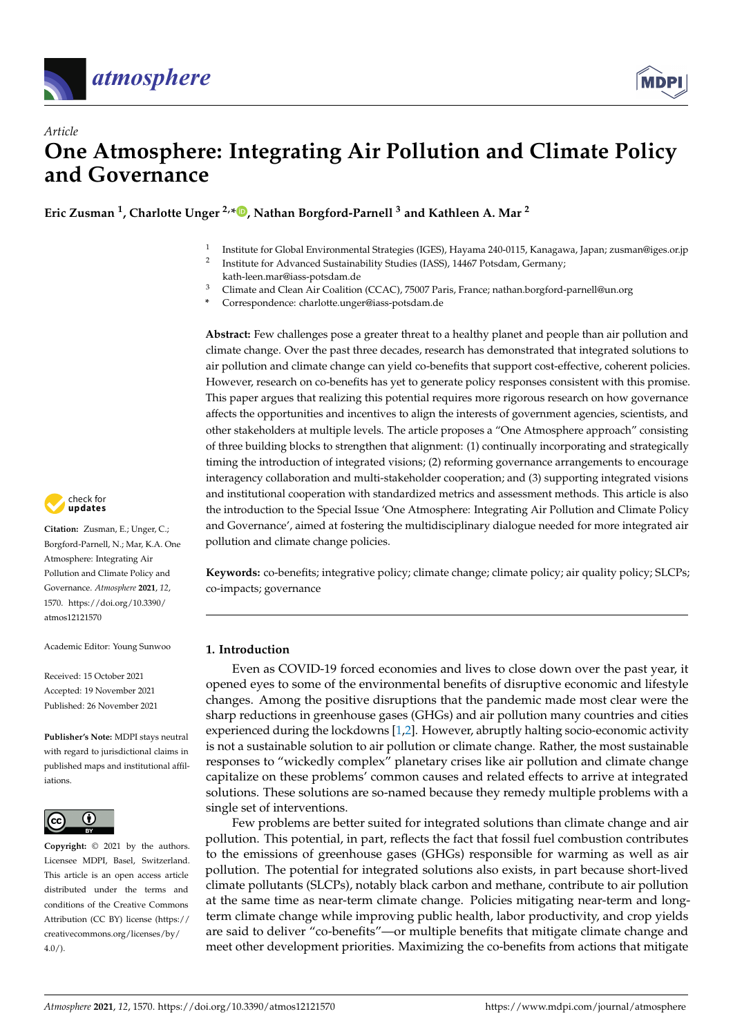



# *Article* **One Atmosphere: Integrating Air Pollution and Climate Policy and Governance**

**Eric Zusman <sup>1</sup> , Charlotte Unger 2,\* [,](https://orcid.org/0000-0003-1095-5700) Nathan Borgford-Parnell <sup>3</sup> and Kathleen A. Mar <sup>2</sup>**

- 1 Institute for Global Environmental Strategies (IGES), Hayama 240-0115, Kanagawa, Japan; zusman@iges.or.jp
- 2 Institute for Advanced Sustainability Studies (IASS), 14467 Potsdam, Germany; kath-leen.mar@iass-potsdam.de
- <sup>3</sup> Climate and Clean Air Coalition (CCAC), 75007 Paris, France; nathan.borgford-parnell@un.org
- **\*** Correspondence: charlotte.unger@iass-potsdam.de

**Abstract:** Few challenges pose a greater threat to a healthy planet and people than air pollution and climate change. Over the past three decades, research has demonstrated that integrated solutions to air pollution and climate change can yield co-benefits that support cost-effective, coherent policies. However, research on co-benefits has yet to generate policy responses consistent with this promise. This paper argues that realizing this potential requires more rigorous research on how governance affects the opportunities and incentives to align the interests of government agencies, scientists, and other stakeholders at multiple levels. The article proposes a "One Atmosphere approach" consisting of three building blocks to strengthen that alignment: (1) continually incorporating and strategically timing the introduction of integrated visions; (2) reforming governance arrangements to encourage interagency collaboration and multi-stakeholder cooperation; and (3) supporting integrated visions and institutional cooperation with standardized metrics and assessment methods. This article is also the introduction to the Special Issue 'One Atmosphere: Integrating Air Pollution and Climate Policy and Governance', aimed at fostering the multidisciplinary dialogue needed for more integrated air pollution and climate change policies.

**Keywords:** co-benefits; integrative policy; climate change; climate policy; air quality policy; SLCPs; co-impacts; governance

# **1. Introduction**

Even as COVID-19 forced economies and lives to close down over the past year, it opened eyes to some of the environmental benefits of disruptive economic and lifestyle changes. Among the positive disruptions that the pandemic made most clear were the sharp reductions in greenhouse gases (GHGs) and air pollution many countries and cities experienced during the lockdowns [\[1,](#page-13-0)[2\]](#page-13-1). However, abruptly halting socio-economic activity is not a sustainable solution to air pollution or climate change. Rather, the most sustainable responses to "wickedly complex" planetary crises like air pollution and climate change capitalize on these problems' common causes and related effects to arrive at integrated solutions. These solutions are so-named because they remedy multiple problems with a single set of interventions.

Few problems are better suited for integrated solutions than climate change and air pollution. This potential, in part, reflects the fact that fossil fuel combustion contributes to the emissions of greenhouse gases (GHGs) responsible for warming as well as air pollution. The potential for integrated solutions also exists, in part because short-lived climate pollutants (SLCPs), notably black carbon and methane, contribute to air pollution at the same time as near-term climate change. Policies mitigating near-term and longterm climate change while improving public health, labor productivity, and crop yields are said to deliver "co-benefits"—or multiple benefits that mitigate climate change and meet other development priorities. Maximizing the co-benefits from actions that mitigate



**Citation:** Zusman, E.; Unger, C.; Borgford-Parnell, N.; Mar, K.A. One Atmosphere: Integrating Air Pollution and Climate Policy and Governance. *Atmosphere* **2021**, *12*, 1570. [https://doi.org/10.3390/](https://doi.org/10.3390/atmos12121570) [atmos12121570](https://doi.org/10.3390/atmos12121570)

Academic Editor: Young Sunwoo

Received: 15 October 2021 Accepted: 19 November 2021 Published: 26 November 2021

**Publisher's Note:** MDPI stays neutral with regard to jurisdictional claims in published maps and institutional affiliations.



**Copyright:** © 2021 by the authors. Licensee MDPI, Basel, Switzerland. This article is an open access article distributed under the terms and conditions of the Creative Commons Attribution (CC BY) license (https:/[/](https://creativecommons.org/licenses/by/4.0/) [creativecommons.org/licenses/by/](https://creativecommons.org/licenses/by/4.0/)  $4.0/$ ).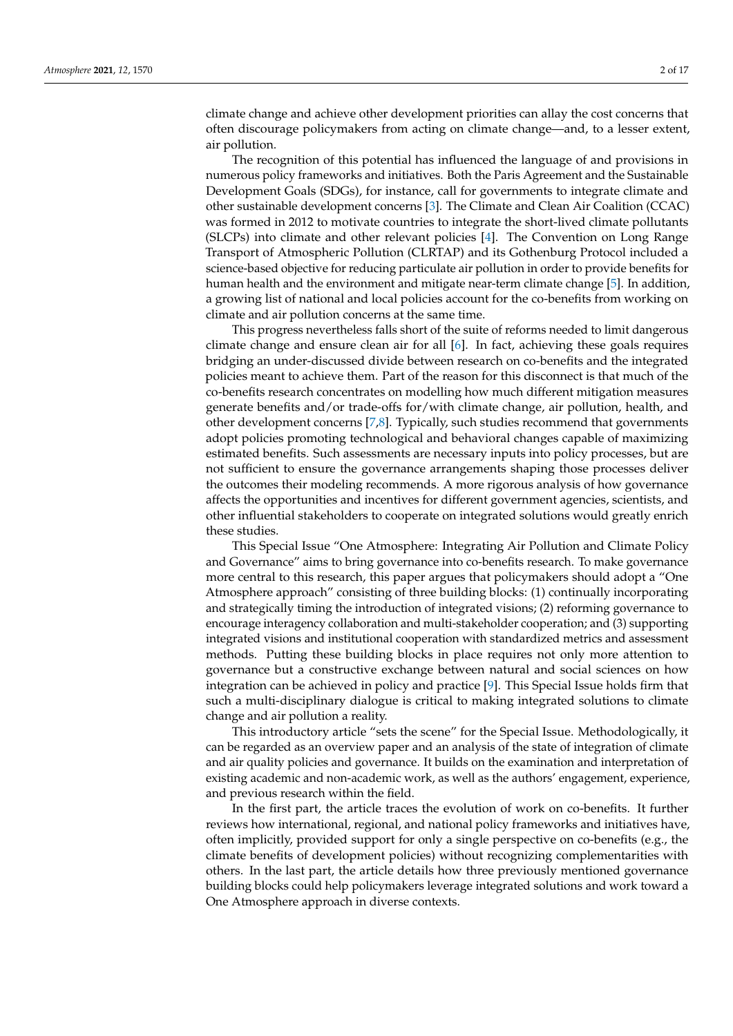climate change and achieve other development priorities can allay the cost concerns that often discourage policymakers from acting on climate change—and, to a lesser extent, air pollution.

The recognition of this potential has influenced the language of and provisions in numerous policy frameworks and initiatives. Both the Paris Agreement and the Sustainable Development Goals (SDGs), for instance, call for governments to integrate climate and other sustainable development concerns [\[3\]](#page-13-2). The Climate and Clean Air Coalition (CCAC) was formed in 2012 to motivate countries to integrate the short-lived climate pollutants (SLCPs) into climate and other relevant policies [\[4\]](#page-13-3). The Convention on Long Range Transport of Atmospheric Pollution (CLRTAP) and its Gothenburg Protocol included a science-based objective for reducing particulate air pollution in order to provide benefits for human health and the environment and mitigate near-term climate change [\[5\]](#page-13-4). In addition, a growing list of national and local policies account for the co-benefits from working on climate and air pollution concerns at the same time.

This progress nevertheless falls short of the suite of reforms needed to limit dangerous climate change and ensure clean air for all [\[6\]](#page-13-5). In fact, achieving these goals requires bridging an under-discussed divide between research on co-benefits and the integrated policies meant to achieve them. Part of the reason for this disconnect is that much of the co-benefits research concentrates on modelling how much different mitigation measures generate benefits and/or trade-offs for/with climate change, air pollution, health, and other development concerns [\[7,](#page-14-0)[8\]](#page-14-1). Typically, such studies recommend that governments adopt policies promoting technological and behavioral changes capable of maximizing estimated benefits. Such assessments are necessary inputs into policy processes, but are not sufficient to ensure the governance arrangements shaping those processes deliver the outcomes their modeling recommends. A more rigorous analysis of how governance affects the opportunities and incentives for different government agencies, scientists, and other influential stakeholders to cooperate on integrated solutions would greatly enrich these studies.

This Special Issue "One Atmosphere: Integrating Air Pollution and Climate Policy and Governance" aims to bring governance into co-benefits research. To make governance more central to this research, this paper argues that policymakers should adopt a "One Atmosphere approach" consisting of three building blocks: (1) continually incorporating and strategically timing the introduction of integrated visions; (2) reforming governance to encourage interagency collaboration and multi-stakeholder cooperation; and (3) supporting integrated visions and institutional cooperation with standardized metrics and assessment methods. Putting these building blocks in place requires not only more attention to governance but a constructive exchange between natural and social sciences on how integration can be achieved in policy and practice [\[9\]](#page-14-2). This Special Issue holds firm that such a multi-disciplinary dialogue is critical to making integrated solutions to climate change and air pollution a reality.

This introductory article "sets the scene" for the Special Issue. Methodologically, it can be regarded as an overview paper and an analysis of the state of integration of climate and air quality policies and governance. It builds on the examination and interpretation of existing academic and non-academic work, as well as the authors' engagement, experience, and previous research within the field.

In the first part, the article traces the evolution of work on co-benefits. It further reviews how international, regional, and national policy frameworks and initiatives have, often implicitly, provided support for only a single perspective on co-benefits (e.g., the climate benefits of development policies) without recognizing complementarities with others. In the last part, the article details how three previously mentioned governance building blocks could help policymakers leverage integrated solutions and work toward a One Atmosphere approach in diverse contexts.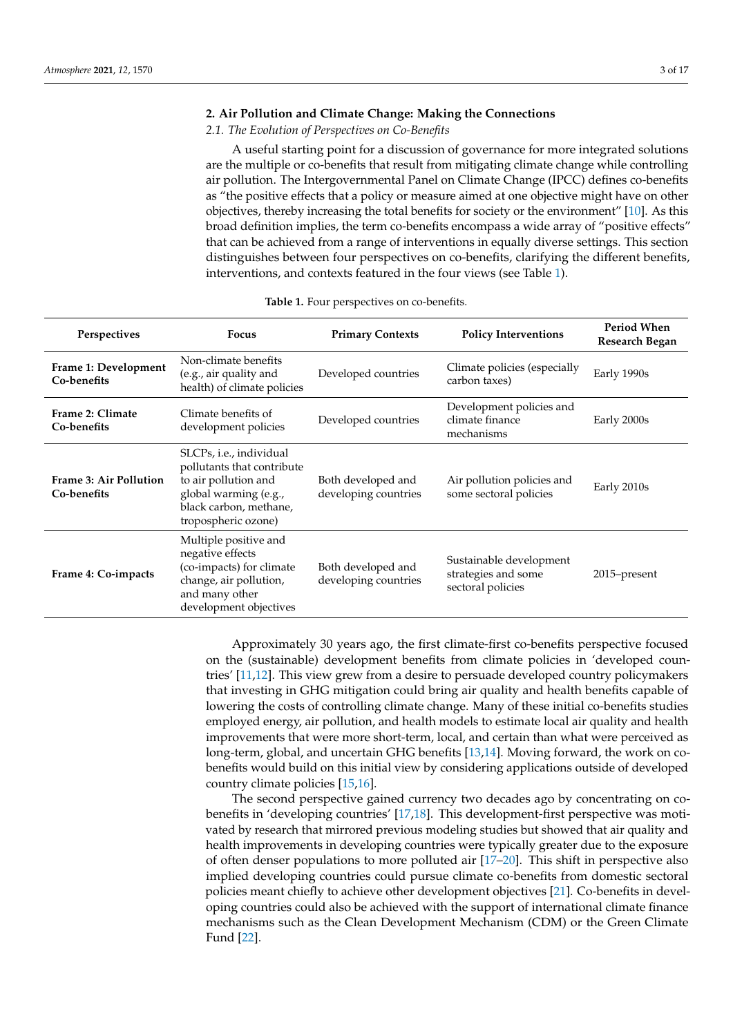## **2. Air Pollution and Climate Change: Making the Connections**

#### *2.1. The Evolution of Perspectives on Co-Benefits*

A useful starting point for a discussion of governance for more integrated solutions are the multiple or co-benefits that result from mitigating climate change while controlling air pollution. The Intergovernmental Panel on Climate Change (IPCC) defines co-benefits as "the positive effects that a policy or measure aimed at one objective might have on other objectives, thereby increasing the total benefits for society or the environment" [\[10\]](#page-14-3). As this broad definition implies, the term co-benefits encompass a wide array of "positive effects" that can be achieved from a range of interventions in equally diverse settings. This section distinguishes between four perspectives on co-benefits, clarifying the different benefits, interventions, and contexts featured in the four views (see Table [1\)](#page-2-0).

<span id="page-2-0"></span>

| Perspectives                                 | <b>Focus</b>                                                                                                                                                    | <b>Primary Contexts</b>                    | <b>Policy Interventions</b>                                         | <b>Period When</b><br>Research Began |
|----------------------------------------------|-----------------------------------------------------------------------------------------------------------------------------------------------------------------|--------------------------------------------|---------------------------------------------------------------------|--------------------------------------|
| Frame 1: Development<br>Co-benefits          | Non-climate benefits<br>(e.g., air quality and<br>health) of climate policies                                                                                   | Developed countries                        | Climate policies (especially<br>carbon taxes)                       | Early 1990s                          |
| Frame 2: Climate<br>Co-benefits              | Climate benefits of<br>development policies                                                                                                                     | Developed countries                        | Development policies and<br>climate finance<br>mechanisms           | Early 2000s                          |
| <b>Frame 3: Air Pollution</b><br>Co-benefits | SLCPs, <i>i.e.</i> , individual<br>pollutants that contribute<br>to air pollution and<br>global warming (e.g.,<br>black carbon, methane,<br>tropospheric ozone) | Both developed and<br>developing countries | Air pollution policies and<br>some sectoral policies                | Early 2010s                          |
| Frame 4: Co-impacts                          | Multiple positive and<br>negative effects<br>(co-impacts) for climate<br>change, air pollution,<br>and many other<br>development objectives                     | Both developed and<br>developing countries | Sustainable development<br>strategies and some<br>sectoral policies | 2015–present                         |

**Table 1.** Four perspectives on co-benefits.

Approximately 30 years ago, the first climate-first co-benefits perspective focused on the (sustainable) development benefits from climate policies in 'developed countries' [\[11,](#page-14-4)[12\]](#page-14-5). This view grew from a desire to persuade developed country policymakers that investing in GHG mitigation could bring air quality and health benefits capable of lowering the costs of controlling climate change. Many of these initial co-benefits studies employed energy, air pollution, and health models to estimate local air quality and health improvements that were more short-term, local, and certain than what were perceived as long-term, global, and uncertain GHG benefits [\[13,](#page-14-6)[14\]](#page-14-7). Moving forward, the work on cobenefits would build on this initial view by considering applications outside of developed country climate policies [\[15](#page-14-8)[,16\]](#page-14-9).

The second perspective gained currency two decades ago by concentrating on cobenefits in 'developing countries' [\[17,](#page-14-10)[18\]](#page-14-11). This development-first perspective was motivated by research that mirrored previous modeling studies but showed that air quality and health improvements in developing countries were typically greater due to the exposure of often denser populations to more polluted air [\[17](#page-14-10)[–20\]](#page-14-12). This shift in perspective also implied developing countries could pursue climate co-benefits from domestic sectoral policies meant chiefly to achieve other development objectives [\[21\]](#page-14-13). Co-benefits in developing countries could also be achieved with the support of international climate finance mechanisms such as the Clean Development Mechanism (CDM) or the Green Climate Fund [\[22\]](#page-14-14).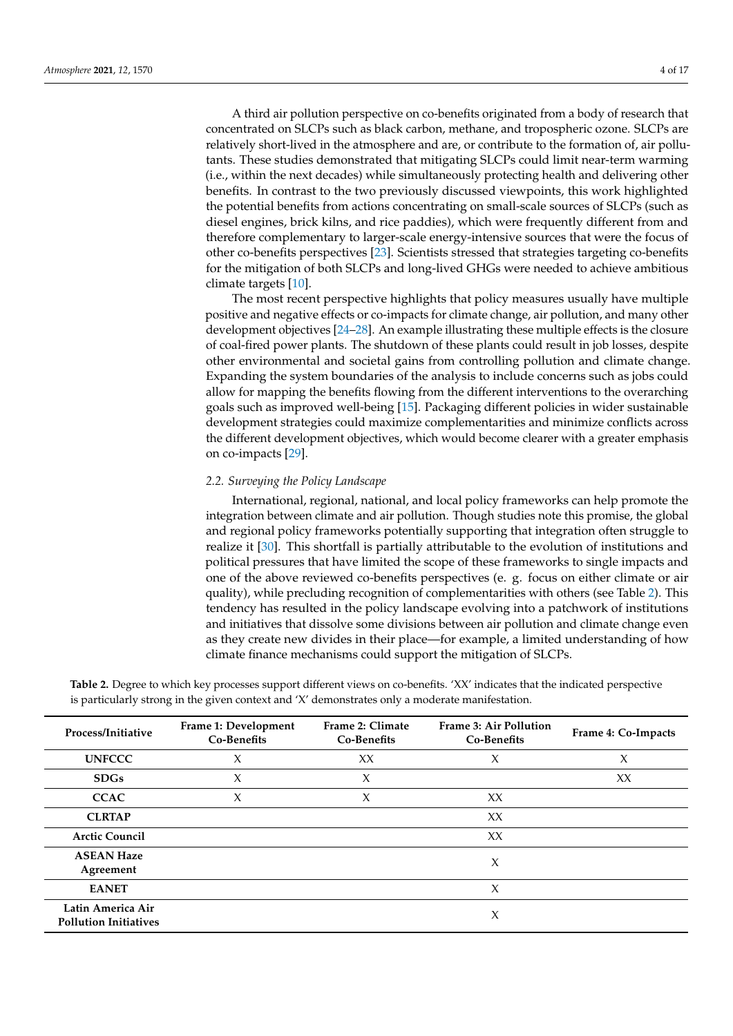A third air pollution perspective on co-benefits originated from a body of research that concentrated on SLCPs such as black carbon, methane, and tropospheric ozone. SLCPs are relatively short-lived in the atmosphere and are, or contribute to the formation of, air pollutants. These studies demonstrated that mitigating SLCPs could limit near-term warming (i.e., within the next decades) while simultaneously protecting health and delivering other benefits. In contrast to the two previously discussed viewpoints, this work highlighted the potential benefits from actions concentrating on small-scale sources of SLCPs (such as diesel engines, brick kilns, and rice paddies), which were frequently different from and therefore complementary to larger-scale energy-intensive sources that were the focus of other co-benefits perspectives [\[23\]](#page-14-15). Scientists stressed that strategies targeting co-benefits for the mitigation of both SLCPs and long-lived GHGs were needed to achieve ambitious climate targets [\[10\]](#page-14-3).

The most recent perspective highlights that policy measures usually have multiple positive and negative effects or co-impacts for climate change, air pollution, and many other development objectives [\[24–](#page-14-16)[28\]](#page-14-17). An example illustrating these multiple effects is the closure of coal-fired power plants. The shutdown of these plants could result in job losses, despite other environmental and societal gains from controlling pollution and climate change. Expanding the system boundaries of the analysis to include concerns such as jobs could allow for mapping the benefits flowing from the different interventions to the overarching goals such as improved well-being [\[15\]](#page-14-8). Packaging different policies in wider sustainable development strategies could maximize complementarities and minimize conflicts across the different development objectives, which would become clearer with a greater emphasis on co-impacts [\[29\]](#page-14-18).

#### *2.2. Surveying the Policy Landscape*

International, regional, national, and local policy frameworks can help promote the integration between climate and air pollution. Though studies note this promise, the global and regional policy frameworks potentially supporting that integration often struggle to realize it [\[30\]](#page-14-19). This shortfall is partially attributable to the evolution of institutions and political pressures that have limited the scope of these frameworks to single impacts and one of the above reviewed co-benefits perspectives (e. g. focus on either climate or air quality), while precluding recognition of complementarities with others (see Table [2\)](#page-3-0). This tendency has resulted in the policy landscape evolving into a patchwork of institutions and initiatives that dissolve some divisions between air pollution and climate change even as they create new divides in their place—for example, a limited understanding of how climate finance mechanisms could support the mitigation of SLCPs.

| Process/Initiative                                | Frame 1: Development<br>Co-Benefits | Frame 2: Climate<br>Co-Benefits | <b>Frame 3: Air Pollution</b><br>Co-Benefits | Frame 4: Co-Impacts |
|---------------------------------------------------|-------------------------------------|---------------------------------|----------------------------------------------|---------------------|
| <b>UNFCCC</b>                                     | $\chi$                              | XX                              | X                                            | X                   |
| <b>SDGs</b>                                       | $\chi$                              | $\chi$                          |                                              | XX                  |
| <b>CCAC</b>                                       | $\chi$                              | $\chi$                          | XX                                           |                     |
| <b>CLRTAP</b>                                     |                                     |                                 | XX                                           |                     |
| <b>Arctic Council</b>                             |                                     |                                 | XX                                           |                     |
| <b>ASEAN Haze</b><br>Agreement                    |                                     |                                 | X                                            |                     |
| <b>EANET</b>                                      |                                     |                                 | $\chi$                                       |                     |
| Latin America Air<br><b>Pollution Initiatives</b> |                                     |                                 | $\boldsymbol{\chi}$                          |                     |

<span id="page-3-0"></span>**Table 2.** Degree to which key processes support different views on co-benefits. 'XX' indicates that the indicated perspective is particularly strong in the given context and 'X' demonstrates only a moderate manifestation.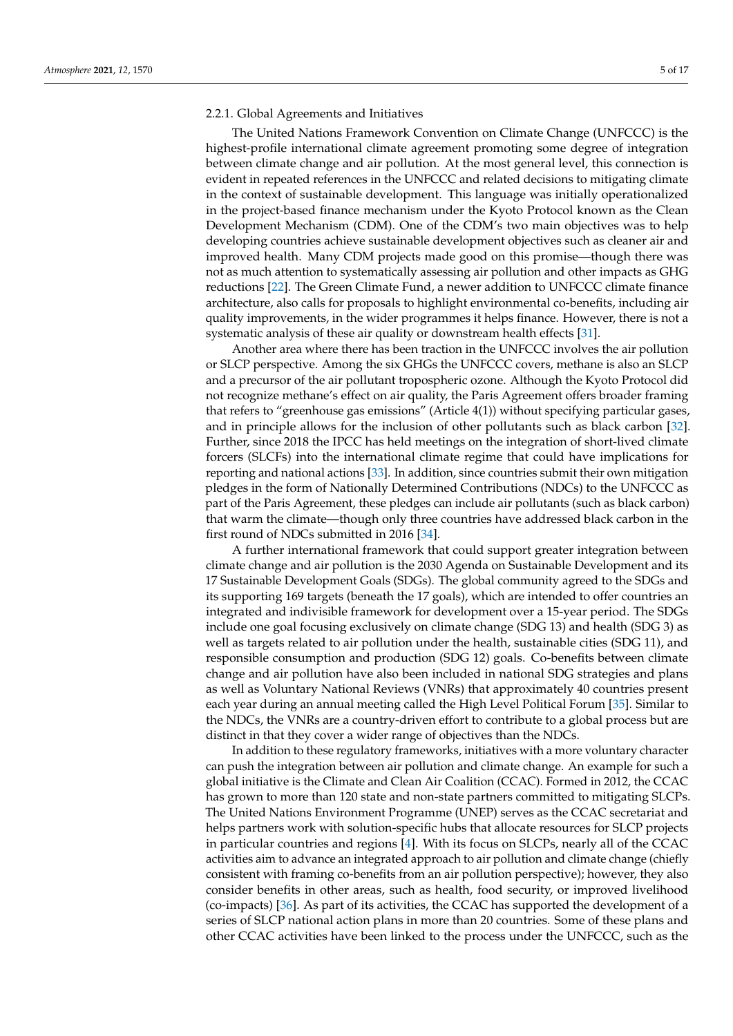#### 2.2.1. Global Agreements and Initiatives

The United Nations Framework Convention on Climate Change (UNFCCC) is the highest-profile international climate agreement promoting some degree of integration between climate change and air pollution. At the most general level, this connection is evident in repeated references in the UNFCCC and related decisions to mitigating climate in the context of sustainable development. This language was initially operationalized in the project-based finance mechanism under the Kyoto Protocol known as the Clean Development Mechanism (CDM). One of the CDM's two main objectives was to help developing countries achieve sustainable development objectives such as cleaner air and improved health. Many CDM projects made good on this promise—though there was not as much attention to systematically assessing air pollution and other impacts as GHG reductions [\[22\]](#page-14-14). The Green Climate Fund, a newer addition to UNFCCC climate finance architecture, also calls for proposals to highlight environmental co-benefits, including air quality improvements, in the wider programmes it helps finance. However, there is not a systematic analysis of these air quality or downstream health effects [\[31\]](#page-14-20).

Another area where there has been traction in the UNFCCC involves the air pollution or SLCP perspective. Among the six GHGs the UNFCCC covers, methane is also an SLCP and a precursor of the air pollutant tropospheric ozone. Although the Kyoto Protocol did not recognize methane's effect on air quality, the Paris Agreement offers broader framing that refers to "greenhouse gas emissions" (Article 4(1)) without specifying particular gases, and in principle allows for the inclusion of other pollutants such as black carbon [\[32\]](#page-14-21). Further, since 2018 the IPCC has held meetings on the integration of short-lived climate forcers (SLCFs) into the international climate regime that could have implications for reporting and national actions [\[33\]](#page-15-0). In addition, since countries submit their own mitigation pledges in the form of Nationally Determined Contributions (NDCs) to the UNFCCC as part of the Paris Agreement, these pledges can include air pollutants (such as black carbon) that warm the climate—though only three countries have addressed black carbon in the first round of NDCs submitted in 2016 [\[34\]](#page-15-1).

A further international framework that could support greater integration between climate change and air pollution is the 2030 Agenda on Sustainable Development and its 17 Sustainable Development Goals (SDGs). The global community agreed to the SDGs and its supporting 169 targets (beneath the 17 goals), which are intended to offer countries an integrated and indivisible framework for development over a 15-year period. The SDGs include one goal focusing exclusively on climate change (SDG 13) and health (SDG 3) as well as targets related to air pollution under the health, sustainable cities (SDG 11), and responsible consumption and production (SDG 12) goals. Co-benefits between climate change and air pollution have also been included in national SDG strategies and plans as well as Voluntary National Reviews (VNRs) that approximately 40 countries present each year during an annual meeting called the High Level Political Forum [\[35\]](#page-15-2). Similar to the NDCs, the VNRs are a country-driven effort to contribute to a global process but are distinct in that they cover a wider range of objectives than the NDCs.

In addition to these regulatory frameworks, initiatives with a more voluntary character can push the integration between air pollution and climate change. An example for such a global initiative is the Climate and Clean Air Coalition (CCAC). Formed in 2012, the CCAC has grown to more than 120 state and non-state partners committed to mitigating SLCPs. The United Nations Environment Programme (UNEP) serves as the CCAC secretariat and helps partners work with solution-specific hubs that allocate resources for SLCP projects in particular countries and regions [\[4\]](#page-13-3). With its focus on SLCPs, nearly all of the CCAC activities aim to advance an integrated approach to air pollution and climate change (chiefly consistent with framing co-benefits from an air pollution perspective); however, they also consider benefits in other areas, such as health, food security, or improved livelihood (co-impacts) [\[36\]](#page-15-3). As part of its activities, the CCAC has supported the development of a series of SLCP national action plans in more than 20 countries. Some of these plans and other CCAC activities have been linked to the process under the UNFCCC, such as the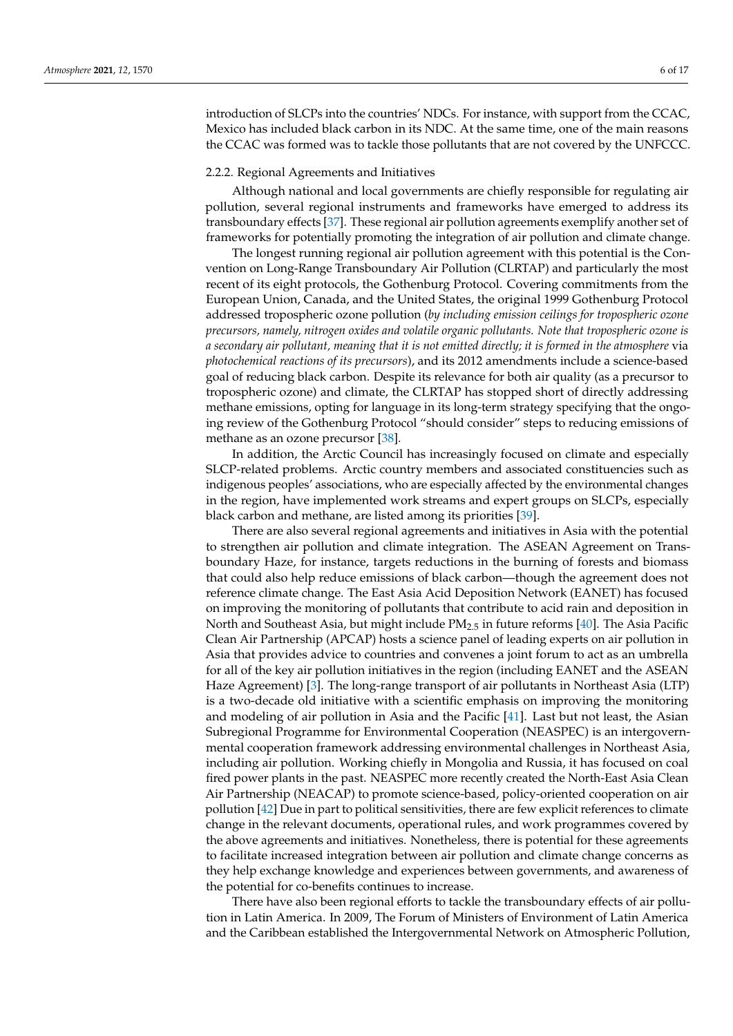introduction of SLCPs into the countries' NDCs. For instance, with support from the CCAC, Mexico has included black carbon in its NDC. At the same time, one of the main reasons the CCAC was formed was to tackle those pollutants that are not covered by the UNFCCC.

## 2.2.2. Regional Agreements and Initiatives

Although national and local governments are chiefly responsible for regulating air pollution, several regional instruments and frameworks have emerged to address its transboundary effects [\[37\]](#page-15-4). These regional air pollution agreements exemplify another set of frameworks for potentially promoting the integration of air pollution and climate change.

The longest running regional air pollution agreement with this potential is the Convention on Long-Range Transboundary Air Pollution (CLRTAP) and particularly the most recent of its eight protocols, the Gothenburg Protocol. Covering commitments from the European Union, Canada, and the United States, the original 1999 Gothenburg Protocol addressed tropospheric ozone pollution (*by including emission ceilings for tropospheric ozone precursors, namely, nitrogen oxides and volatile organic pollutants. Note that tropospheric ozone is a secondary air pollutant, meaning that it is not emitted directly; it is formed in the atmosphere* via *photochemical reactions of its precursors*), and its 2012 amendments include a science-based goal of reducing black carbon. Despite its relevance for both air quality (as a precursor to tropospheric ozone) and climate, the CLRTAP has stopped short of directly addressing methane emissions, opting for language in its long-term strategy specifying that the ongoing review of the Gothenburg Protocol "should consider" steps to reducing emissions of methane as an ozone precursor [\[38\]](#page-15-5).

In addition, the Arctic Council has increasingly focused on climate and especially SLCP-related problems. Arctic country members and associated constituencies such as indigenous peoples' associations, who are especially affected by the environmental changes in the region, have implemented work streams and expert groups on SLCPs, especially black carbon and methane, are listed among its priorities [\[39\]](#page-15-6).

There are also several regional agreements and initiatives in Asia with the potential to strengthen air pollution and climate integration. The ASEAN Agreement on Transboundary Haze, for instance, targets reductions in the burning of forests and biomass that could also help reduce emissions of black carbon—though the agreement does not reference climate change. The East Asia Acid Deposition Network (EANET) has focused on improving the monitoring of pollutants that contribute to acid rain and deposition in North and Southeast Asia, but might include  $PM_{2.5}$  in future reforms [\[40\]](#page-15-7). The Asia Pacific Clean Air Partnership (APCAP) hosts a science panel of leading experts on air pollution in Asia that provides advice to countries and convenes a joint forum to act as an umbrella for all of the key air pollution initiatives in the region (including EANET and the ASEAN Haze Agreement) [\[3\]](#page-13-2). The long-range transport of air pollutants in Northeast Asia (LTP) is a two-decade old initiative with a scientific emphasis on improving the monitoring and modeling of air pollution in Asia and the Pacific [\[41\]](#page-15-8). Last but not least, the Asian Subregional Programme for Environmental Cooperation (NEASPEC) is an intergovernmental cooperation framework addressing environmental challenges in Northeast Asia, including air pollution. Working chiefly in Mongolia and Russia, it has focused on coal fired power plants in the past. NEASPEC more recently created the North-East Asia Clean Air Partnership (NEACAP) to promote science-based, policy-oriented cooperation on air pollution [\[42\]](#page-15-9) Due in part to political sensitivities, there are few explicit references to climate change in the relevant documents, operational rules, and work programmes covered by the above agreements and initiatives. Nonetheless, there is potential for these agreements to facilitate increased integration between air pollution and climate change concerns as they help exchange knowledge and experiences between governments, and awareness of the potential for co-benefits continues to increase.

There have also been regional efforts to tackle the transboundary effects of air pollution in Latin America. In 2009, The Forum of Ministers of Environment of Latin America and the Caribbean established the Intergovernmental Network on Atmospheric Pollution,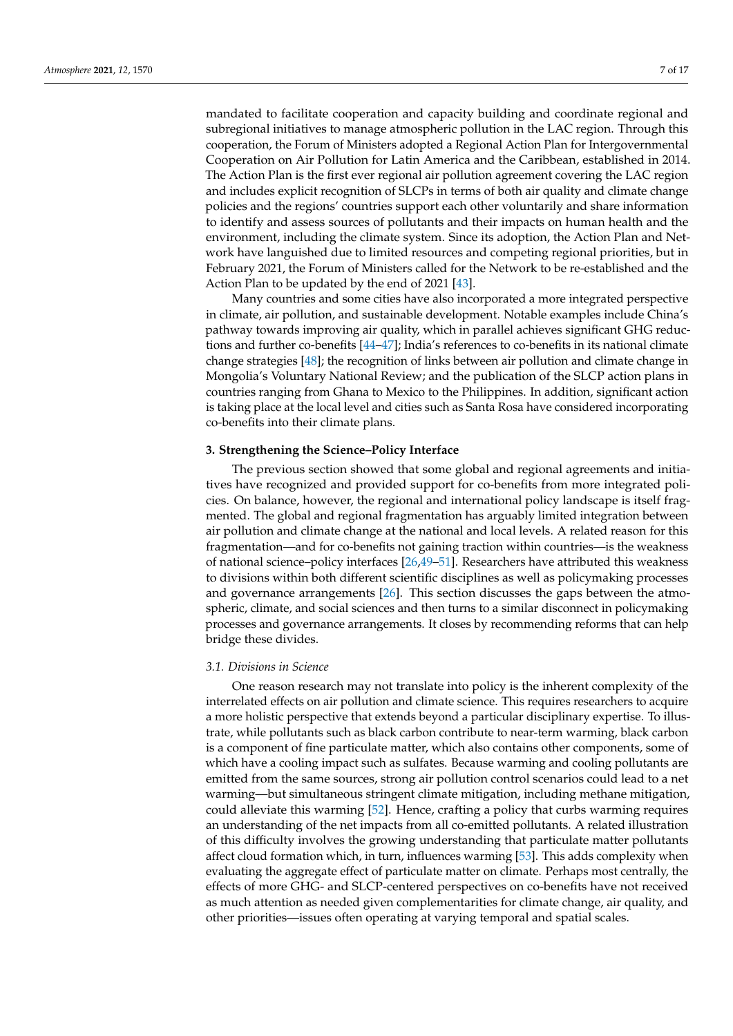mandated to facilitate cooperation and capacity building and coordinate regional and subregional initiatives to manage atmospheric pollution in the LAC region. Through this cooperation, the Forum of Ministers adopted a Regional Action Plan for Intergovernmental Cooperation on Air Pollution for Latin America and the Caribbean, established in 2014. The Action Plan is the first ever regional air pollution agreement covering the LAC region and includes explicit recognition of SLCPs in terms of both air quality and climate change policies and the regions' countries support each other voluntarily and share information to identify and assess sources of pollutants and their impacts on human health and the environment, including the climate system. Since its adoption, the Action Plan and Network have languished due to limited resources and competing regional priorities, but in February 2021, the Forum of Ministers called for the Network to be re-established and the Action Plan to be updated by the end of 2021 [\[43\]](#page-15-10).

Many countries and some cities have also incorporated a more integrated perspective in climate, air pollution, and sustainable development. Notable examples include China's pathway towards improving air quality, which in parallel achieves significant GHG reductions and further co-benefits [\[44](#page-15-11)[–47\]](#page-15-12); India's references to co-benefits in its national climate change strategies [\[48\]](#page-15-13); the recognition of links between air pollution and climate change in Mongolia's Voluntary National Review; and the publication of the SLCP action plans in countries ranging from Ghana to Mexico to the Philippines. In addition, significant action is taking place at the local level and cities such as Santa Rosa have considered incorporating co-benefits into their climate plans.

## **3. Strengthening the Science–Policy Interface**

The previous section showed that some global and regional agreements and initiatives have recognized and provided support for co-benefits from more integrated policies. On balance, however, the regional and international policy landscape is itself fragmented. The global and regional fragmentation has arguably limited integration between air pollution and climate change at the national and local levels. A related reason for this fragmentation—and for co-benefits not gaining traction within countries—is the weakness of national science–policy interfaces [\[26,](#page-14-22)[49–](#page-15-14)[51\]](#page-15-15). Researchers have attributed this weakness to divisions within both different scientific disciplines as well as policymaking processes and governance arrangements [\[26\]](#page-14-22). This section discusses the gaps between the atmospheric, climate, and social sciences and then turns to a similar disconnect in policymaking processes and governance arrangements. It closes by recommending reforms that can help bridge these divides.

#### *3.1. Divisions in Science*

One reason research may not translate into policy is the inherent complexity of the interrelated effects on air pollution and climate science. This requires researchers to acquire a more holistic perspective that extends beyond a particular disciplinary expertise. To illustrate, while pollutants such as black carbon contribute to near-term warming, black carbon is a component of fine particulate matter, which also contains other components, some of which have a cooling impact such as sulfates. Because warming and cooling pollutants are emitted from the same sources, strong air pollution control scenarios could lead to a net warming—but simultaneous stringent climate mitigation, including methane mitigation, could alleviate this warming [\[52\]](#page-15-16). Hence, crafting a policy that curbs warming requires an understanding of the net impacts from all co-emitted pollutants. A related illustration of this difficulty involves the growing understanding that particulate matter pollutants affect cloud formation which, in turn, influences warming [\[53\]](#page-15-17). This adds complexity when evaluating the aggregate effect of particulate matter on climate. Perhaps most centrally, the effects of more GHG- and SLCP-centered perspectives on co-benefits have not received as much attention as needed given complementarities for climate change, air quality, and other priorities—issues often operating at varying temporal and spatial scales.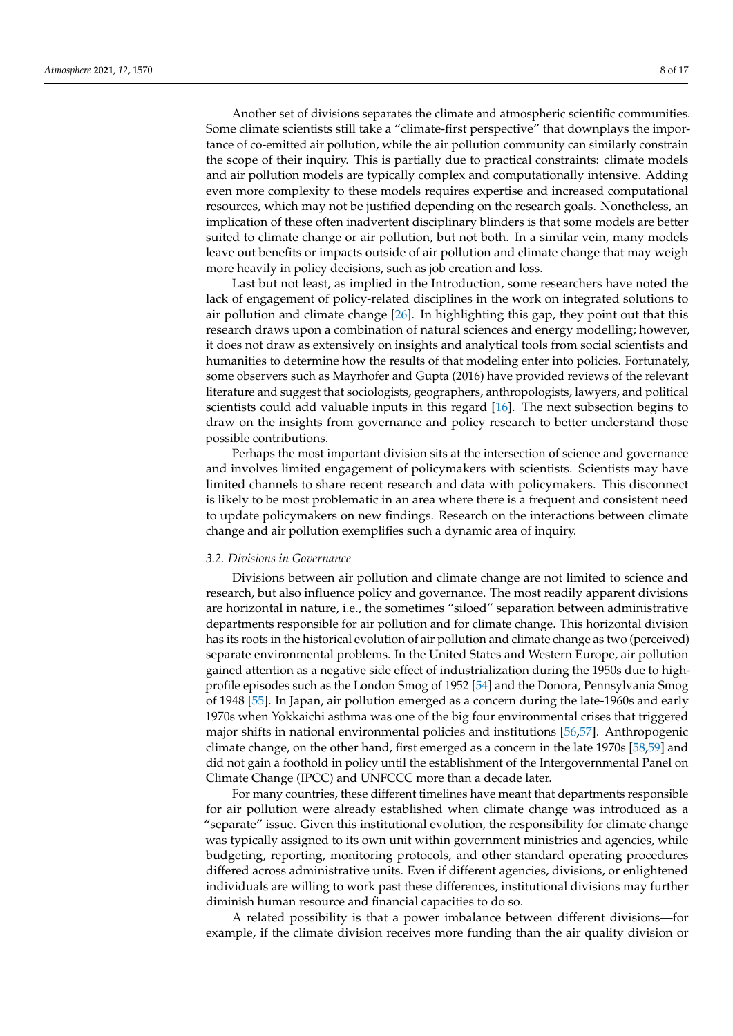Another set of divisions separates the climate and atmospheric scientific communities. Some climate scientists still take a "climate-first perspective" that downplays the importance of co-emitted air pollution, while the air pollution community can similarly constrain the scope of their inquiry. This is partially due to practical constraints: climate models and air pollution models are typically complex and computationally intensive. Adding even more complexity to these models requires expertise and increased computational resources, which may not be justified depending on the research goals. Nonetheless, an implication of these often inadvertent disciplinary blinders is that some models are better suited to climate change or air pollution, but not both. In a similar vein, many models leave out benefits or impacts outside of air pollution and climate change that may weigh more heavily in policy decisions, such as job creation and loss.

Last but not least, as implied in the Introduction, some researchers have noted the lack of engagement of policy-related disciplines in the work on integrated solutions to air pollution and climate change [\[26\]](#page-14-22). In highlighting this gap, they point out that this research draws upon a combination of natural sciences and energy modelling; however, it does not draw as extensively on insights and analytical tools from social scientists and humanities to determine how the results of that modeling enter into policies. Fortunately, some observers such as Mayrhofer and Gupta (2016) have provided reviews of the relevant literature and suggest that sociologists, geographers, anthropologists, lawyers, and political scientists could add valuable inputs in this regard [\[16\]](#page-14-9). The next subsection begins to draw on the insights from governance and policy research to better understand those possible contributions.

Perhaps the most important division sits at the intersection of science and governance and involves limited engagement of policymakers with scientists. Scientists may have limited channels to share recent research and data with policymakers. This disconnect is likely to be most problematic in an area where there is a frequent and consistent need to update policymakers on new findings. Research on the interactions between climate change and air pollution exemplifies such a dynamic area of inquiry.

#### *3.2. Divisions in Governance*

Divisions between air pollution and climate change are not limited to science and research, but also influence policy and governance. The most readily apparent divisions are horizontal in nature, i.e., the sometimes "siloed" separation between administrative departments responsible for air pollution and for climate change. This horizontal division has its roots in the historical evolution of air pollution and climate change as two (perceived) separate environmental problems. In the United States and Western Europe, air pollution gained attention as a negative side effect of industrialization during the 1950s due to highprofile episodes such as the London Smog of 1952 [\[54\]](#page-15-18) and the Donora, Pennsylvania Smog of 1948 [\[55\]](#page-15-19). In Japan, air pollution emerged as a concern during the late-1960s and early 1970s when Yokkaichi asthma was one of the big four environmental crises that triggered major shifts in national environmental policies and institutions [\[56](#page-15-20)[,57\]](#page-15-21). Anthropogenic climate change, on the other hand, first emerged as a concern in the late 1970s [\[58,](#page-15-22)[59\]](#page-15-23) and did not gain a foothold in policy until the establishment of the Intergovernmental Panel on Climate Change (IPCC) and UNFCCC more than a decade later.

For many countries, these different timelines have meant that departments responsible for air pollution were already established when climate change was introduced as a "separate" issue. Given this institutional evolution, the responsibility for climate change was typically assigned to its own unit within government ministries and agencies, while budgeting, reporting, monitoring protocols, and other standard operating procedures differed across administrative units. Even if different agencies, divisions, or enlightened individuals are willing to work past these differences, institutional divisions may further diminish human resource and financial capacities to do so.

A related possibility is that a power imbalance between different divisions—for example, if the climate division receives more funding than the air quality division or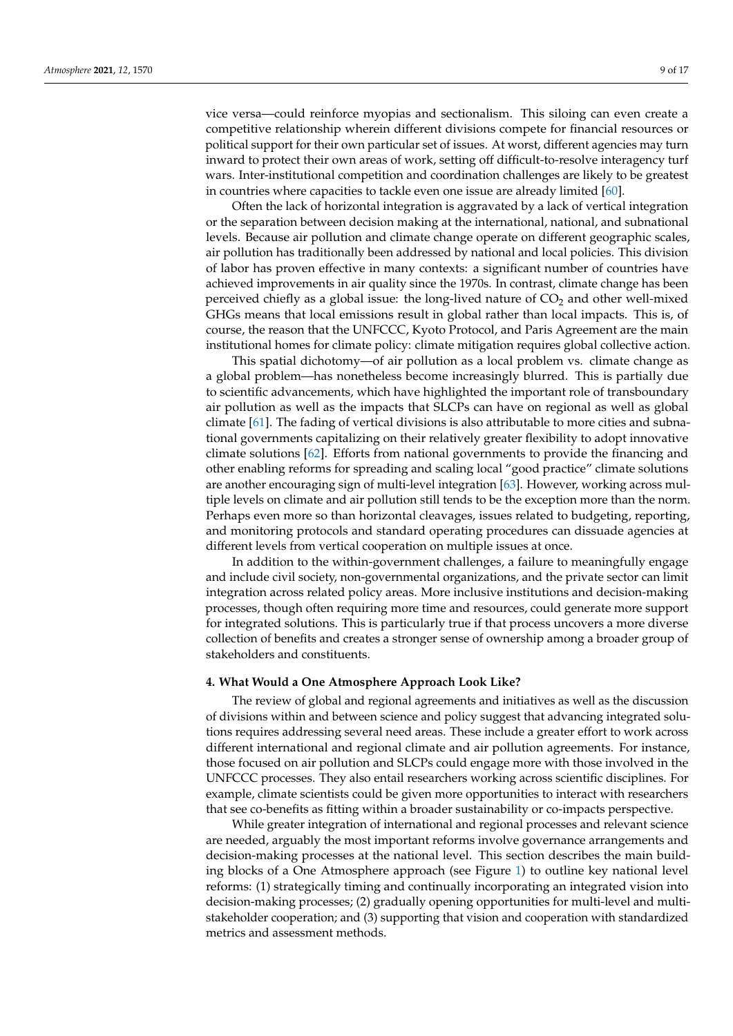vice versa—could reinforce myopias and sectionalism. This siloing can even create a competitive relationship wherein different divisions compete for financial resources or political support for their own particular set of issues. At worst, different agencies may turn inward to protect their own areas of work, setting off difficult-to-resolve interagency turf wars. Inter-institutional competition and coordination challenges are likely to be greatest in countries where capacities to tackle even one issue are already limited [\[60\]](#page-16-0).

Often the lack of horizontal integration is aggravated by a lack of vertical integration or the separation between decision making at the international, national, and subnational levels. Because air pollution and climate change operate on different geographic scales, air pollution has traditionally been addressed by national and local policies. This division of labor has proven effective in many contexts: a significant number of countries have achieved improvements in air quality since the 1970s. In contrast, climate change has been perceived chiefly as a global issue: the long-lived nature of  $CO<sub>2</sub>$  and other well-mixed GHGs means that local emissions result in global rather than local impacts. This is, of course, the reason that the UNFCCC, Kyoto Protocol, and Paris Agreement are the main institutional homes for climate policy: climate mitigation requires global collective action.

This spatial dichotomy—of air pollution as a local problem vs. climate change as a global problem—has nonetheless become increasingly blurred. This is partially due to scientific advancements, which have highlighted the important role of transboundary air pollution as well as the impacts that SLCPs can have on regional as well as global climate [\[61\]](#page-16-1). The fading of vertical divisions is also attributable to more cities and subnational governments capitalizing on their relatively greater flexibility to adopt innovative climate solutions [\[62\]](#page-16-2). Efforts from national governments to provide the financing and other enabling reforms for spreading and scaling local "good practice" climate solutions are another encouraging sign of multi-level integration [\[63\]](#page-16-3). However, working across multiple levels on climate and air pollution still tends to be the exception more than the norm. Perhaps even more so than horizontal cleavages, issues related to budgeting, reporting, and monitoring protocols and standard operating procedures can dissuade agencies at different levels from vertical cooperation on multiple issues at once.

In addition to the within-government challenges, a failure to meaningfully engage and include civil society, non-governmental organizations, and the private sector can limit integration across related policy areas. More inclusive institutions and decision-making processes, though often requiring more time and resources, could generate more support for integrated solutions. This is particularly true if that process uncovers a more diverse collection of benefits and creates a stronger sense of ownership among a broader group of stakeholders and constituents.

#### **4. What Would a One Atmosphere Approach Look Like?**

The review of global and regional agreements and initiatives as well as the discussion of divisions within and between science and policy suggest that advancing integrated solutions requires addressing several need areas. These include a greater effort to work across different international and regional climate and air pollution agreements. For instance, those focused on air pollution and SLCPs could engage more with those involved in the UNFCCC processes. They also entail researchers working across scientific disciplines. For example, climate scientists could be given more opportunities to interact with researchers that see co-benefits as fitting within a broader sustainability or co-impacts perspective.

While greater integration of international and regional processes and relevant science are needed, arguably the most important reforms involve governance arrangements and decision-making processes at the national level. This section describes the main building blocks of a One Atmosphere approach (see Figure [1\)](#page-9-0) to outline key national level reforms: (1) strategically timing and continually incorporating an integrated vision into decision-making processes; (2) gradually opening opportunities for multi-level and multistakeholder cooperation; and (3) supporting that vision and cooperation with standardized metrics and assessment methods.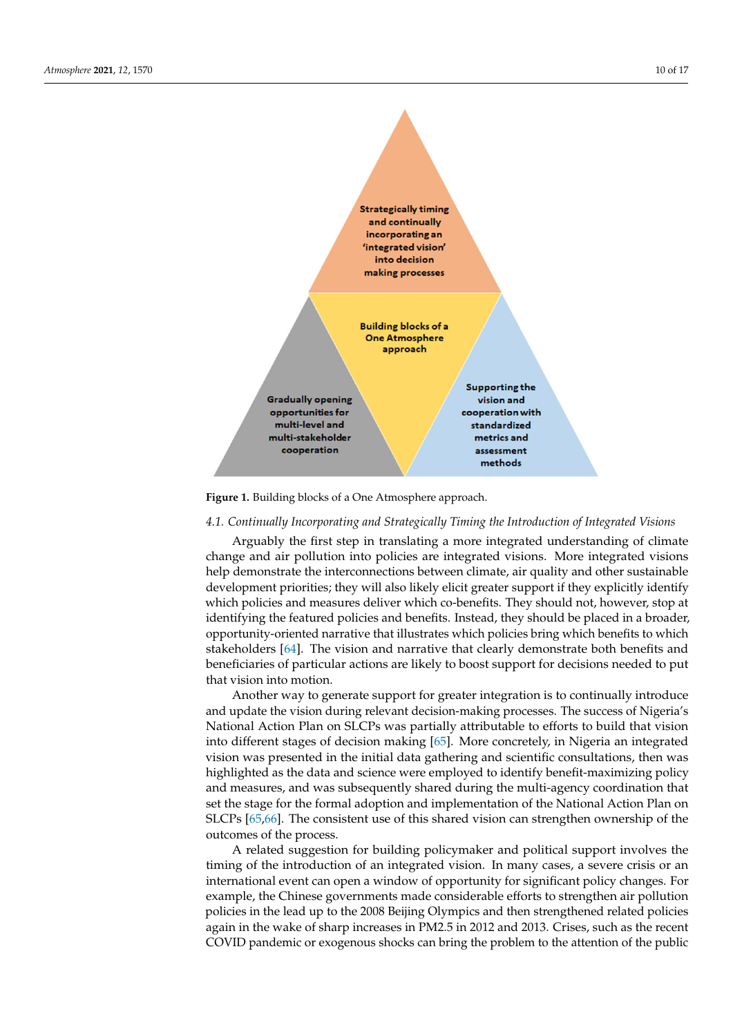<span id="page-9-0"></span>

**Figure 1.** Building blocks of a One Atmosphere approach. **Figure 1.** Building blocks of a One Atmosphere approach.

#### *4.1. Continually Incorporating and Strategically Timing the Introduction of Integrated Visions*

Arguably the first step in translating a more integrated understanding of climate aring a mature integration and parallel integration integrated understanding of climate  $\frac{1}{2}$  and  $\frac{1}{2}$  and  $\frac{1}{2}$  are  $\frac{1}{2}$  and  $\frac{1}{2}$  and  $\frac{1}{2}$  and  $\frac{1}{2}$  and  $\frac{1}{2}$  and  $\frac{1}{2}$  and  $\frac{1}{2}$ development priorities; they will also likely elicit greater support if they explicitly identify when poncies and measures deriver which to benefits. They should not, nowever, stop at identifying the featured policies and benefits. Instead, they should be placed in a broader, opportunity-oriented narrative that illustrates which policies bring which benefits to which stakenoiders [64]. The vision and narrative that clearly demonstrate both benefits and<br>beneficiaries of particular actions are likely to boost support for decisions needed to put that vision into motion. Instead, the placed in a should be placed in a should be placed in a should be placed in a should be placed in a should be placed in a should be placed in a should be placed in a should be placed i change and air pollution into policies are integrated visions. More integrated visions which policies and measures deliver which co-benefits. They should not, however, stop at stakeholders [\[64\]](#page-16-4). The vision and narrative that clearly demonstrate both benefits and

Another way to generate support for greater integration is to continually introduce<br>and undetable vision during whereat designs making anosesses. The support of Nigerials mate to which states and ng clearly deleters in mange precessed the enclose of riggering National Action Plan on SLCPs was partially attributable to efforts to build that vision into different stages of decision making [\[65\]](#page-16-5). More concretely, in Nigeria an integrated vision was presented in the minimum and gallering and scientific consultations, then was<br>highlighted as the data and science were employed to identify benefit-maximizing policy and measures, and was subsequently shared during the multi-agency coordination that set the stage for the formal adoption and implementation of the ivational Action Plan on<br>SLCPs [\[65,](#page-16-5)[66\]](#page-16-6). The consistent use of this shared vision can strengthen ownership of the outcomes of the process. and update the vision during relevant decision-making processes. The success of Nigeria's vision was presented in the initial data gathering and scientific consultations, then was set the stage for the formal adoption and implementation of the National Action Plan on

A related suggestion for building policymaker and political support involves the<br>inte a f the inter-duction of an internated suggestion. In many cases, a gazere wisig as an international event can open a window of opportunity for significant policy changes. For example, the Chinese governments made considerable efforts to strengthen air pollution policies in the read up to the 2000 beijing Orympics and their strengthened related polices<br>again in the wake of sharp increases in PM2.5 in 2012 and 2013. Crises, such as the recent COVID pandemic or exogenous shocks can bring the problem to the attention of the public timing of the introduction of an integrated vision. In many cases, a severe crisis or an policies in the lead up to the 2008 Beijing Olympics and then strengthened related policies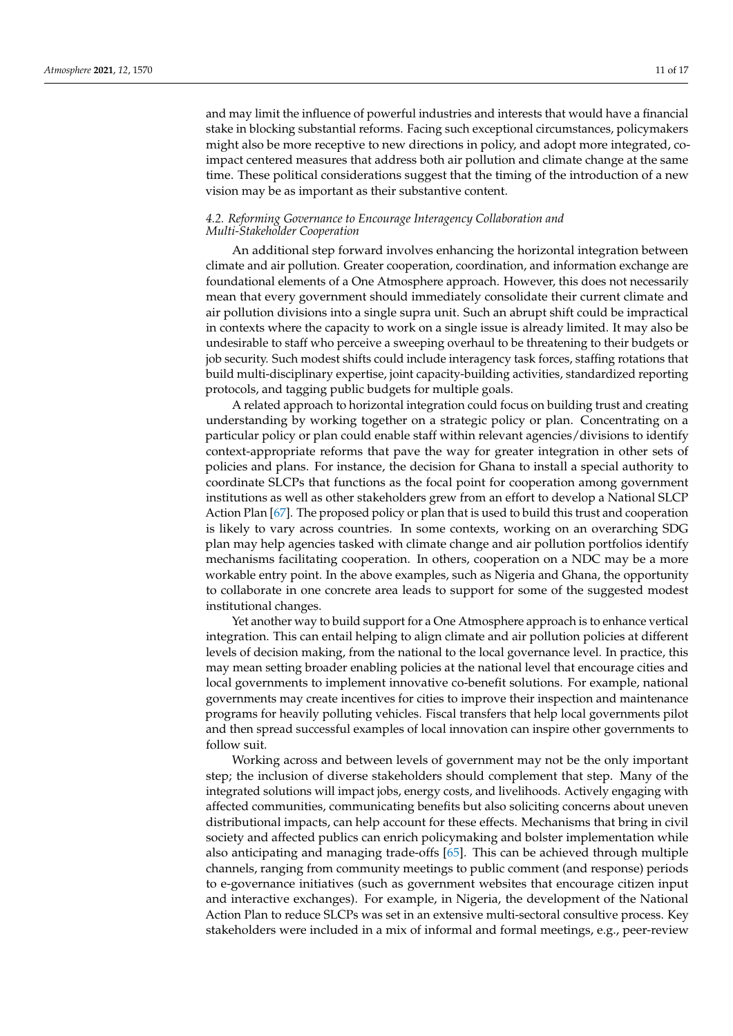and may limit the influence of powerful industries and interests that would have a financial stake in blocking substantial reforms. Facing such exceptional circumstances, policymakers might also be more receptive to new directions in policy, and adopt more integrated, coimpact centered measures that address both air pollution and climate change at the same time. These political considerations suggest that the timing of the introduction of a new vision may be as important as their substantive content.

#### *4.2. Reforming Governance to Encourage Interagency Collaboration and Multi-Stakeholder Cooperation*

An additional step forward involves enhancing the horizontal integration between climate and air pollution. Greater cooperation, coordination, and information exchange are foundational elements of a One Atmosphere approach. However, this does not necessarily mean that every government should immediately consolidate their current climate and air pollution divisions into a single supra unit. Such an abrupt shift could be impractical in contexts where the capacity to work on a single issue is already limited. It may also be undesirable to staff who perceive a sweeping overhaul to be threatening to their budgets or job security. Such modest shifts could include interagency task forces, staffing rotations that build multi-disciplinary expertise, joint capacity-building activities, standardized reporting protocols, and tagging public budgets for multiple goals.

A related approach to horizontal integration could focus on building trust and creating understanding by working together on a strategic policy or plan. Concentrating on a particular policy or plan could enable staff within relevant agencies/divisions to identify context-appropriate reforms that pave the way for greater integration in other sets of policies and plans. For instance, the decision for Ghana to install a special authority to coordinate SLCPs that functions as the focal point for cooperation among government institutions as well as other stakeholders grew from an effort to develop a National SLCP Action Plan [\[67\]](#page-16-7). The proposed policy or plan that is used to build this trust and cooperation is likely to vary across countries. In some contexts, working on an overarching SDG plan may help agencies tasked with climate change and air pollution portfolios identify mechanisms facilitating cooperation. In others, cooperation on a NDC may be a more workable entry point. In the above examples, such as Nigeria and Ghana, the opportunity to collaborate in one concrete area leads to support for some of the suggested modest institutional changes.

Yet another way to build support for a One Atmosphere approach is to enhance vertical integration. This can entail helping to align climate and air pollution policies at different levels of decision making, from the national to the local governance level. In practice, this may mean setting broader enabling policies at the national level that encourage cities and local governments to implement innovative co-benefit solutions. For example, national governments may create incentives for cities to improve their inspection and maintenance programs for heavily polluting vehicles. Fiscal transfers that help local governments pilot and then spread successful examples of local innovation can inspire other governments to follow suit.

Working across and between levels of government may not be the only important step; the inclusion of diverse stakeholders should complement that step. Many of the integrated solutions will impact jobs, energy costs, and livelihoods. Actively engaging with affected communities, communicating benefits but also soliciting concerns about uneven distributional impacts, can help account for these effects. Mechanisms that bring in civil society and affected publics can enrich policymaking and bolster implementation while also anticipating and managing trade-offs [\[65\]](#page-16-5). This can be achieved through multiple channels, ranging from community meetings to public comment (and response) periods to e-governance initiatives (such as government websites that encourage citizen input and interactive exchanges). For example, in Nigeria, the development of the National Action Plan to reduce SLCPs was set in an extensive multi-sectoral consultive process. Key stakeholders were included in a mix of informal and formal meetings, e.g., peer-review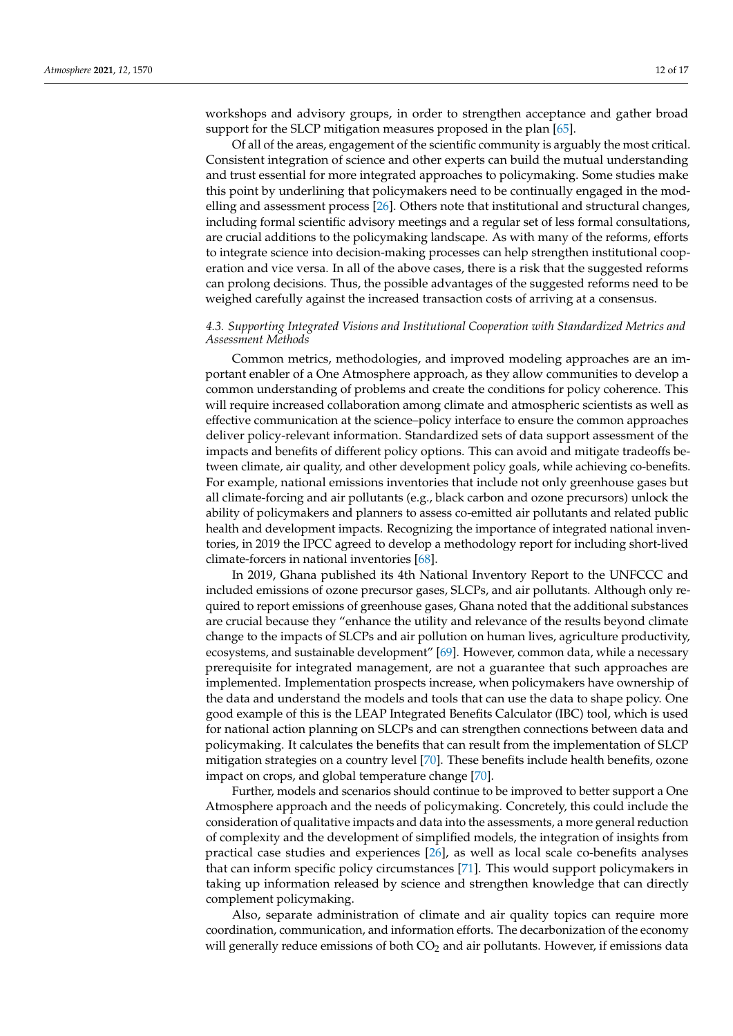workshops and advisory groups, in order to strengthen acceptance and gather broad support for the SLCP mitigation measures proposed in the plan [\[65\]](#page-16-5).

Of all of the areas, engagement of the scientific community is arguably the most critical. Consistent integration of science and other experts can build the mutual understanding and trust essential for more integrated approaches to policymaking. Some studies make this point by underlining that policymakers need to be continually engaged in the modelling and assessment process [\[26\]](#page-14-22). Others note that institutional and structural changes, including formal scientific advisory meetings and a regular set of less formal consultations, are crucial additions to the policymaking landscape. As with many of the reforms, efforts to integrate science into decision-making processes can help strengthen institutional cooperation and vice versa. In all of the above cases, there is a risk that the suggested reforms can prolong decisions. Thus, the possible advantages of the suggested reforms need to be weighed carefully against the increased transaction costs of arriving at a consensus.

#### *4.3. Supporting Integrated Visions and Institutional Cooperation with Standardized Metrics and Assessment Methods*

Common metrics, methodologies, and improved modeling approaches are an important enabler of a One Atmosphere approach, as they allow communities to develop a common understanding of problems and create the conditions for policy coherence. This will require increased collaboration among climate and atmospheric scientists as well as effective communication at the science–policy interface to ensure the common approaches deliver policy-relevant information. Standardized sets of data support assessment of the impacts and benefits of different policy options. This can avoid and mitigate tradeoffs between climate, air quality, and other development policy goals, while achieving co-benefits. For example, national emissions inventories that include not only greenhouse gases but all climate-forcing and air pollutants (e.g., black carbon and ozone precursors) unlock the ability of policymakers and planners to assess co-emitted air pollutants and related public health and development impacts. Recognizing the importance of integrated national inventories, in 2019 the IPCC agreed to develop a methodology report for including short-lived climate-forcers in national inventories [\[68\]](#page-16-8).

In 2019, Ghana published its 4th National Inventory Report to the UNFCCC and included emissions of ozone precursor gases, SLCPs, and air pollutants. Although only required to report emissions of greenhouse gases, Ghana noted that the additional substances are crucial because they "enhance the utility and relevance of the results beyond climate change to the impacts of SLCPs and air pollution on human lives, agriculture productivity, ecosystems, and sustainable development" [\[69\]](#page-16-9). However, common data, while a necessary prerequisite for integrated management, are not a guarantee that such approaches are implemented. Implementation prospects increase, when policymakers have ownership of the data and understand the models and tools that can use the data to shape policy. One good example of this is the LEAP Integrated Benefits Calculator (IBC) tool, which is used for national action planning on SLCPs and can strengthen connections between data and policymaking. It calculates the benefits that can result from the implementation of SLCP mitigation strategies on a country level [\[70\]](#page-16-10). These benefits include health benefits, ozone impact on crops, and global temperature change [\[70\]](#page-16-10).

Further, models and scenarios should continue to be improved to better support a One Atmosphere approach and the needs of policymaking. Concretely, this could include the consideration of qualitative impacts and data into the assessments, a more general reduction of complexity and the development of simplified models, the integration of insights from practical case studies and experiences [\[26\]](#page-14-22), as well as local scale co-benefits analyses that can inform specific policy circumstances [\[71\]](#page-16-11). This would support policymakers in taking up information released by science and strengthen knowledge that can directly complement policymaking.

Also, separate administration of climate and air quality topics can require more coordination, communication, and information efforts. The decarbonization of the economy will generally reduce emissions of both  $CO<sub>2</sub>$  and air pollutants. However, if emissions data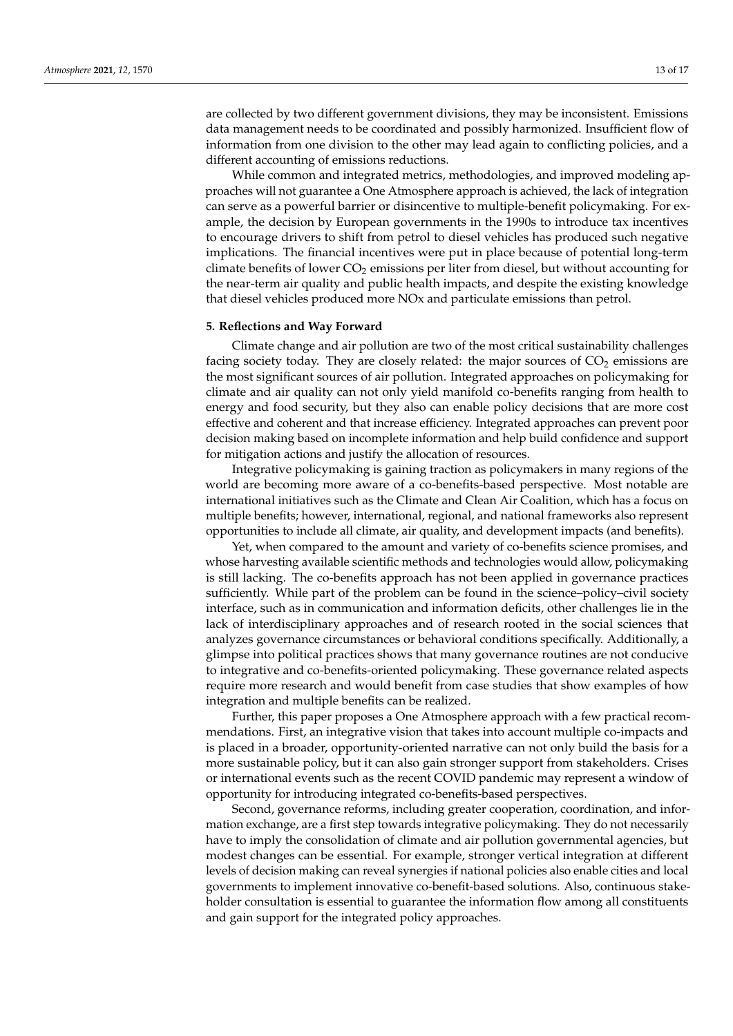are collected by two different government divisions, they may be inconsistent. Emissions data management needs to be coordinated and possibly harmonized. Insufficient flow of information from one division to the other may lead again to conflicting policies, and a different accounting of emissions reductions.

While common and integrated metrics, methodologies, and improved modeling approaches will not guarantee a One Atmosphere approach is achieved, the lack of integration can serve as a powerful barrier or disincentive to multiple-benefit policymaking. For example, the decision by European governments in the 1990s to introduce tax incentives to encourage drivers to shift from petrol to diesel vehicles has produced such negative implications. The financial incentives were put in place because of potential long-term climate benefits of lower  $CO<sub>2</sub>$  emissions per liter from diesel, but without accounting for the near-term air quality and public health impacts, and despite the existing knowledge that diesel vehicles produced more NOx and particulate emissions than petrol.

#### **5. Reflections and Way Forward**

Climate change and air pollution are two of the most critical sustainability challenges facing society today. They are closely related: the major sources of  $CO<sub>2</sub>$  emissions are the most significant sources of air pollution. Integrated approaches on policymaking for climate and air quality can not only yield manifold co-benefits ranging from health to energy and food security, but they also can enable policy decisions that are more cost effective and coherent and that increase efficiency. Integrated approaches can prevent poor decision making based on incomplete information and help build confidence and support for mitigation actions and justify the allocation of resources.

Integrative policymaking is gaining traction as policymakers in many regions of the world are becoming more aware of a co-benefits-based perspective. Most notable are international initiatives such as the Climate and Clean Air Coalition, which has a focus on multiple benefits; however, international, regional, and national frameworks also represent opportunities to include all climate, air quality, and development impacts (and benefits).

Yet, when compared to the amount and variety of co-benefits science promises, and whose harvesting available scientific methods and technologies would allow, policymaking is still lacking. The co-benefits approach has not been applied in governance practices sufficiently. While part of the problem can be found in the science–policy–civil society interface, such as in communication and information deficits, other challenges lie in the lack of interdisciplinary approaches and of research rooted in the social sciences that analyzes governance circumstances or behavioral conditions specifically. Additionally, a glimpse into political practices shows that many governance routines are not conducive to integrative and co-benefits-oriented policymaking. These governance related aspects require more research and would benefit from case studies that show examples of how integration and multiple benefits can be realized.

Further, this paper proposes a One Atmosphere approach with a few practical recommendations. First, an integrative vision that takes into account multiple co-impacts and is placed in a broader, opportunity-oriented narrative can not only build the basis for a more sustainable policy, but it can also gain stronger support from stakeholders. Crises or international events such as the recent COVID pandemic may represent a window of opportunity for introducing integrated co-benefits-based perspectives.

Second, governance reforms, including greater cooperation, coordination, and information exchange, are a first step towards integrative policymaking. They do not necessarily have to imply the consolidation of climate and air pollution governmental agencies, but modest changes can be essential. For example, stronger vertical integration at different levels of decision making can reveal synergies if national policies also enable cities and local governments to implement innovative co-benefit-based solutions. Also, continuous stakeholder consultation is essential to guarantee the information flow among all constituents and gain support for the integrated policy approaches.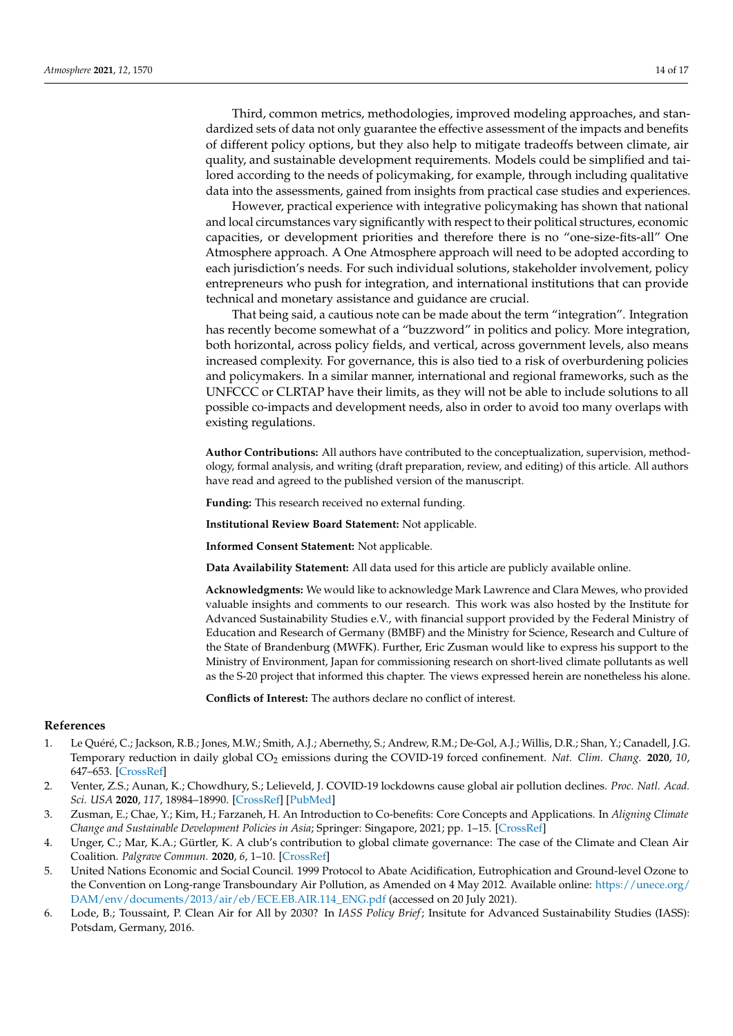Third, common metrics, methodologies, improved modeling approaches, and standardized sets of data not only guarantee the effective assessment of the impacts and benefits of different policy options, but they also help to mitigate tradeoffs between climate, air quality, and sustainable development requirements. Models could be simplified and tailored according to the needs of policymaking, for example, through including qualitative data into the assessments, gained from insights from practical case studies and experiences.

However, practical experience with integrative policymaking has shown that national and local circumstances vary significantly with respect to their political structures, economic capacities, or development priorities and therefore there is no "one-size-fits-all" One Atmosphere approach. A One Atmosphere approach will need to be adopted according to each jurisdiction's needs. For such individual solutions, stakeholder involvement, policy entrepreneurs who push for integration, and international institutions that can provide technical and monetary assistance and guidance are crucial.

That being said, a cautious note can be made about the term "integration". Integration has recently become somewhat of a "buzzword" in politics and policy. More integration, both horizontal, across policy fields, and vertical, across government levels, also means increased complexity. For governance, this is also tied to a risk of overburdening policies and policymakers. In a similar manner, international and regional frameworks, such as the UNFCCC or CLRTAP have their limits, as they will not be able to include solutions to all possible co-impacts and development needs, also in order to avoid too many overlaps with existing regulations.

**Author Contributions:** All authors have contributed to the conceptualization, supervision, methodology, formal analysis, and writing (draft preparation, review, and editing) of this article. All authors have read and agreed to the published version of the manuscript.

**Funding:** This research received no external funding.

**Institutional Review Board Statement:** Not applicable.

**Informed Consent Statement:** Not applicable.

**Data Availability Statement:** All data used for this article are publicly available online.

**Acknowledgments:** We would like to acknowledge Mark Lawrence and Clara Mewes, who provided valuable insights and comments to our research. This work was also hosted by the Institute for Advanced Sustainability Studies e.V., with financial support provided by the Federal Ministry of Education and Research of Germany (BMBF) and the Ministry for Science, Research and Culture of the State of Brandenburg (MWFK). Further, Eric Zusman would like to express his support to the Ministry of Environment, Japan for commissioning research on short-lived climate pollutants as well as the S-20 project that informed this chapter. The views expressed herein are nonetheless his alone.

**Conflicts of Interest:** The authors declare no conflict of interest.

## **References**

- <span id="page-13-0"></span>1. Le Quéré, C.; Jackson, R.B.; Jones, M.W.; Smith, A.J.; Abernethy, S.; Andrew, R.M.; De-Gol, A.J.; Willis, D.R.; Shan, Y.; Canadell, J.G. Temporary reduction in daily global CO<sup>2</sup> emissions during the COVID-19 forced confinement. *Nat. Clim. Chang.* **2020**, *10*, 647–653. [\[CrossRef\]](http://doi.org/10.1038/s41558-020-0797-x)
- <span id="page-13-1"></span>2. Venter, Z.S.; Aunan, K.; Chowdhury, S.; Lelieveld, J. COVID-19 lockdowns cause global air pollution declines. *Proc. Natl. Acad. Sci. USA* **2020**, *117*, 18984–18990. [\[CrossRef\]](http://doi.org/10.1073/pnas.2006853117) [\[PubMed\]](http://www.ncbi.nlm.nih.gov/pubmed/32723816)
- <span id="page-13-2"></span>3. Zusman, E.; Chae, Y.; Kim, H.; Farzaneh, H. An Introduction to Co-benefits: Core Concepts and Applications. In *Aligning Climate Change and Sustainable Development Policies in Asia*; Springer: Singapore, 2021; pp. 1–15. [\[CrossRef\]](http://doi.org/10.1007/978-981-16-0135-4_1)
- <span id="page-13-3"></span>4. Unger, C.; Mar, K.A.; Gürtler, K. A club's contribution to global climate governance: The case of the Climate and Clean Air Coalition. *Palgrave Commun.* **2020**, *6*, 1–10. [\[CrossRef\]](http://doi.org/10.1057/s41599-020-0474-8)
- <span id="page-13-4"></span>5. United Nations Economic and Social Council. 1999 Protocol to Abate Acidification, Eutrophication and Ground-level Ozone to the Convention on Long-range Transboundary Air Pollution, as Amended on 4 May 2012. Available online: [https://unece.org/](https://unece.org/DAM/env/documents/2013/air/eb/ECE.EB.AIR.114_ENG.pdf) [DAM/env/documents/2013/air/eb/ECE.EB.AIR.114\\_ENG.pdf](https://unece.org/DAM/env/documents/2013/air/eb/ECE.EB.AIR.114_ENG.pdf) (accessed on 20 July 2021).
- <span id="page-13-5"></span>6. Lode, B.; Toussaint, P. Clean Air for All by 2030? In *IASS Policy Brief*; Insitute for Advanced Sustainability Studies (IASS): Potsdam, Germany, 2016.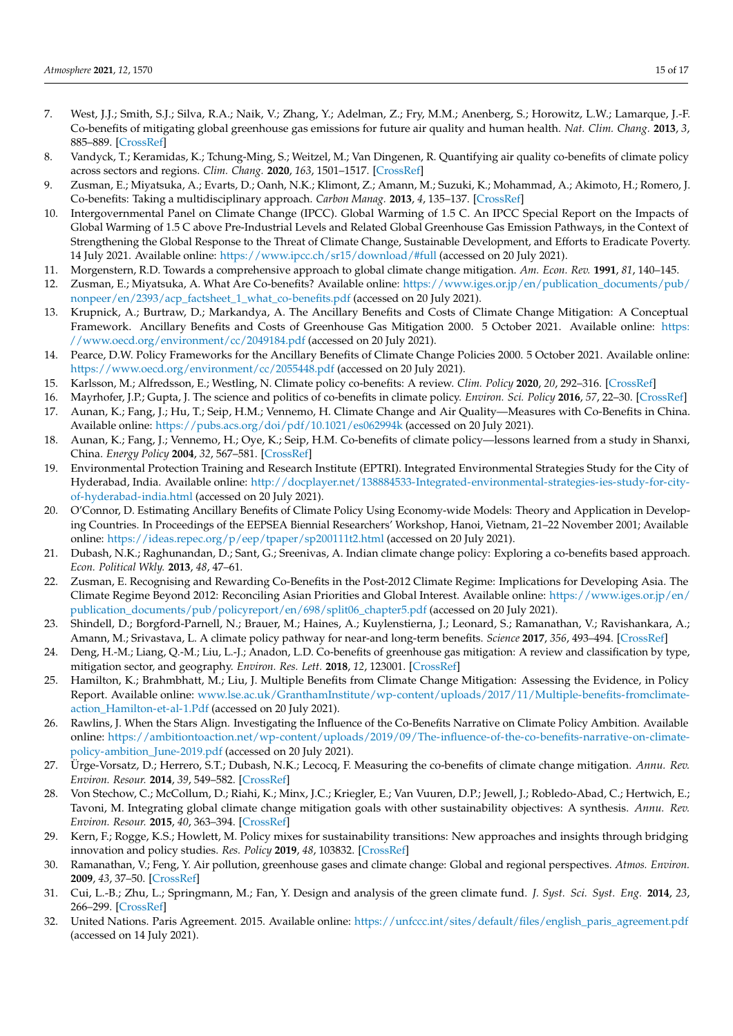- <span id="page-14-0"></span>7. West, J.J.; Smith, S.J.; Silva, R.A.; Naik, V.; Zhang, Y.; Adelman, Z.; Fry, M.M.; Anenberg, S.; Horowitz, L.W.; Lamarque, J.-F. Co-benefits of mitigating global greenhouse gas emissions for future air quality and human health. *Nat. Clim. Chang.* **2013**, *3*, 885–889. [\[CrossRef\]](http://doi.org/10.1038/nclimate2009)
- <span id="page-14-1"></span>8. Vandyck, T.; Keramidas, K.; Tchung-Ming, S.; Weitzel, M.; Van Dingenen, R. Quantifying air quality co-benefits of climate policy across sectors and regions. *Clim. Chang.* **2020**, *163*, 1501–1517. [\[CrossRef\]](http://doi.org/10.1007/s10584-020-02685-7)
- <span id="page-14-2"></span>9. Zusman, E.; Miyatsuka, A.; Evarts, D.; Oanh, N.K.; Klimont, Z.; Amann, M.; Suzuki, K.; Mohammad, A.; Akimoto, H.; Romero, J. Co-benefits: Taking a multidisciplinary approach. *Carbon Manag.* **2013**, *4*, 135–137. [\[CrossRef\]](http://doi.org/10.4155/cmt.13.12)
- <span id="page-14-3"></span>10. Intergovernmental Panel on Climate Change (IPCC). Global Warming of 1.5 C. An IPCC Special Report on the Impacts of Global Warming of 1.5 C above Pre-Industrial Levels and Related Global Greenhouse Gas Emission Pathways, in the Context of Strengthening the Global Response to the Threat of Climate Change, Sustainable Development, and Efforts to Eradicate Poverty. 14 July 2021. Available online: <https://www.ipcc.ch/sr15/download/#full> (accessed on 20 July 2021).
- <span id="page-14-4"></span>11. Morgenstern, R.D. Towards a comprehensive approach to global climate change mitigation. *Am. Econ. Rev.* **1991**, *81*, 140–145.
- <span id="page-14-5"></span>12. Zusman, E.; Miyatsuka, A. What Are Co-benefits? Available online: [https://www.iges.or.jp/en/publication\\_documents/pub/](https://www.iges.or.jp/en/publication_documents/pub/nonpeer/en/2393/acp_factsheet_1_what_co-benefits.pdf) [nonpeer/en/2393/acp\\_factsheet\\_1\\_what\\_co-benefits.pdf](https://www.iges.or.jp/en/publication_documents/pub/nonpeer/en/2393/acp_factsheet_1_what_co-benefits.pdf) (accessed on 20 July 2021).
- <span id="page-14-6"></span>13. Krupnick, A.; Burtraw, D.; Markandya, A. The Ancillary Benefits and Costs of Climate Change Mitigation: A Conceptual Framework. Ancillary Benefits and Costs of Greenhouse Gas Mitigation 2000. 5 October 2021. Available online: [https:](https://www.oecd.org/environment/cc/2049184.pdf) [//www.oecd.org/environment/cc/2049184.pdf](https://www.oecd.org/environment/cc/2049184.pdf) (accessed on 20 July 2021).
- <span id="page-14-7"></span>14. Pearce, D.W. Policy Frameworks for the Ancillary Benefits of Climate Change Policies 2000. 5 October 2021. Available online: <https://www.oecd.org/environment/cc/2055448.pdf> (accessed on 20 July 2021).
- <span id="page-14-8"></span>15. Karlsson, M.; Alfredsson, E.; Westling, N. Climate policy co-benefits: A review. *Clim. Policy* **2020**, *20*, 292–316. [\[CrossRef\]](http://doi.org/10.1080/14693062.2020.1724070)
- <span id="page-14-9"></span>16. Mayrhofer, J.P.; Gupta, J. The science and politics of co-benefits in climate policy. *Environ. Sci. Policy* **2016**, *57*, 22–30. [\[CrossRef\]](http://doi.org/10.1016/j.envsci.2015.11.005)
- <span id="page-14-10"></span>17. Aunan, K.; Fang, J.; Hu, T.; Seip, H.M.; Vennemo, H. Climate Change and Air Quality—Measures with Co-Benefits in China. Available online: <https://pubs.acs.org/doi/pdf/10.1021/es062994k> (accessed on 20 July 2021).
- <span id="page-14-11"></span>18. Aunan, K.; Fang, J.; Vennemo, H.; Oye, K.; Seip, H.M. Co-benefits of climate policy—lessons learned from a study in Shanxi, China. *Energy Policy* **2004**, *32*, 567–581. [\[CrossRef\]](http://doi.org/10.1016/S0301-4215(03)00156-3)
- 19. Environmental Protection Training and Research Institute (EPTRI). Integrated Environmental Strategies Study for the City of Hyderabad, India. Available online: [http://docplayer.net/138884533-Integrated-environmental-strategies-ies-study-for-city](http://docplayer.net/138884533-Integrated-environmental-strategies-ies-study-for-city-of-hyderabad-india.html)[of-hyderabad-india.html](http://docplayer.net/138884533-Integrated-environmental-strategies-ies-study-for-city-of-hyderabad-india.html) (accessed on 20 July 2021).
- <span id="page-14-12"></span>20. O'Connor, D. Estimating Ancillary Benefits of Climate Policy Using Economy-wide Models: Theory and Application in Developing Countries. In Proceedings of the EEPSEA Biennial Researchers' Workshop, Hanoi, Vietnam, 21–22 November 2001; Available online: <https://ideas.repec.org/p/eep/tpaper/sp200111t2.html> (accessed on 20 July 2021).
- <span id="page-14-13"></span>21. Dubash, N.K.; Raghunandan, D.; Sant, G.; Sreenivas, A. Indian climate change policy: Exploring a co-benefits based approach. *Econ. Political Wkly.* **2013**, *48*, 47–61.
- <span id="page-14-14"></span>22. Zusman, E. Recognising and Rewarding Co-Benefits in the Post-2012 Climate Regime: Implications for Developing Asia. The Climate Regime Beyond 2012: Reconciling Asian Priorities and Global Interest. Available online: [https://www.iges.or.jp/en/](https://www.iges.or.jp/en/publication_documents/pub/policyreport/en/698/split06_chapter5.pdf) [publication\\_documents/pub/policyreport/en/698/split06\\_chapter5.pdf](https://www.iges.or.jp/en/publication_documents/pub/policyreport/en/698/split06_chapter5.pdf) (accessed on 20 July 2021).
- <span id="page-14-15"></span>23. Shindell, D.; Borgford-Parnell, N.; Brauer, M.; Haines, A.; Kuylenstierna, J.; Leonard, S.; Ramanathan, V.; Ravishankara, A.; Amann, M.; Srivastava, L. A climate policy pathway for near-and long-term benefits. *Science* **2017**, *356*, 493–494. [\[CrossRef\]](http://doi.org/10.1126/science.aak9521)
- <span id="page-14-16"></span>24. Deng, H.-M.; Liang, Q.-M.; Liu, L.-J.; Anadon, L.D. Co-benefits of greenhouse gas mitigation: A review and classification by type, mitigation sector, and geography. *Environ. Res. Lett.* **2018**, *12*, 123001. [\[CrossRef\]](http://doi.org/10.1088/1748-9326/aa98d2)
- 25. Hamilton, K.; Brahmbhatt, M.; Liu, J. Multiple Benefits from Climate Change Mitigation: Assessing the Evidence, in Policy Report. Available online: [www.lse.ac.uk/GranthamInstitute/wp-content/uploads/2017/11/Multiple-benefits-fromclimate](www.lse.ac.uk/GranthamInstitute/wp-content/uploads/2017/11/Multiple-benefits-fromclimate-action_Hamilton-et-al-1.Pdf)[action\\_Hamilton-et-al-1.Pdf](www.lse.ac.uk/GranthamInstitute/wp-content/uploads/2017/11/Multiple-benefits-fromclimate-action_Hamilton-et-al-1.Pdf) (accessed on 20 July 2021).
- <span id="page-14-22"></span>26. Rawlins, J. When the Stars Align. Investigating the Influence of the Co-Benefits Narrative on Climate Policy Ambition. Available online: [https://ambitiontoaction.net/wp-content/uploads/2019/09/The-influence-of-the-co-benefits-narrative-on-climate](https://ambitiontoaction.net/wp-content/uploads/2019/09/The-influence-of-the-co-benefits-narrative-on-climate-policy-ambition_June-2019.pdf)[policy-ambition\\_June-2019.pdf](https://ambitiontoaction.net/wp-content/uploads/2019/09/The-influence-of-the-co-benefits-narrative-on-climate-policy-ambition_June-2019.pdf) (accessed on 20 July 2021).
- 27. Ürge-Vorsatz, D.; Herrero, S.T.; Dubash, N.K.; Lecocq, F. Measuring the co-benefits of climate change mitigation. *Annu. Rev. Environ. Resour.* **2014**, *39*, 549–582. [\[CrossRef\]](http://doi.org/10.1146/annurev-environ-031312-125456)
- <span id="page-14-17"></span>28. Von Stechow, C.; McCollum, D.; Riahi, K.; Minx, J.C.; Kriegler, E.; Van Vuuren, D.P.; Jewell, J.; Robledo-Abad, C.; Hertwich, E.; Tavoni, M. Integrating global climate change mitigation goals with other sustainability objectives: A synthesis. *Annu. Rev. Environ. Resour.* **2015**, *40*, 363–394. [\[CrossRef\]](http://doi.org/10.1146/annurev-environ-021113-095626)
- <span id="page-14-18"></span>29. Kern, F.; Rogge, K.S.; Howlett, M. Policy mixes for sustainability transitions: New approaches and insights through bridging innovation and policy studies. *Res. Policy* **2019**, *48*, 103832. [\[CrossRef\]](http://doi.org/10.1016/j.respol.2019.103832)
- <span id="page-14-19"></span>30. Ramanathan, V.; Feng, Y. Air pollution, greenhouse gases and climate change: Global and regional perspectives. *Atmos. Environ.* **2009**, *43*, 37–50. [\[CrossRef\]](http://doi.org/10.1016/j.atmosenv.2008.09.063)
- <span id="page-14-20"></span>31. Cui, L.-B.; Zhu, L.; Springmann, M.; Fan, Y. Design and analysis of the green climate fund. *J. Syst. Sci. Syst. Eng.* **2014**, *23*, 266–299. [\[CrossRef\]](http://doi.org/10.1007/s11518-014-5250-0)
- <span id="page-14-21"></span>32. United Nations. Paris Agreement. 2015. Available online: [https://unfccc.int/sites/default/files/english\\_paris\\_agreement.pdf](https://unfccc.int/sites/default/files/english_paris_agreement.pdf) (accessed on 14 July 2021).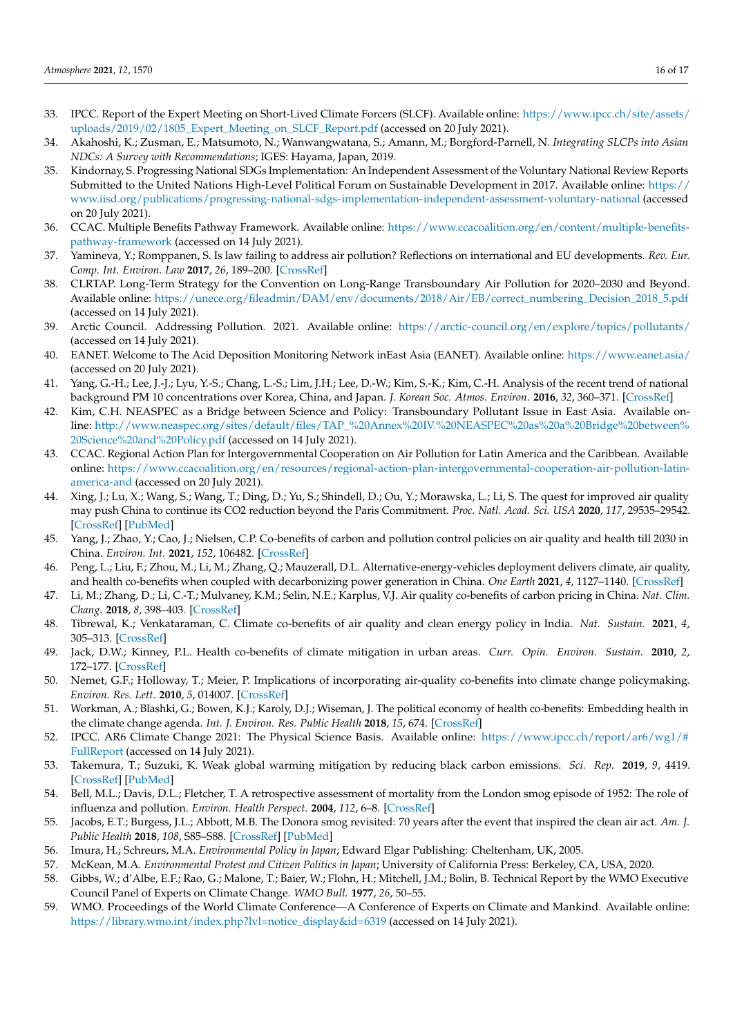- <span id="page-15-0"></span>33. IPCC. Report of the Expert Meeting on Short-Lived Climate Forcers (SLCF). Available online: [https://www.ipcc.ch/site/assets/](https://www.ipcc.ch/site/assets/uploads/2019/02/1805_Expert_Meeting_on_SLCF_Report.pdf) [uploads/2019/02/1805\\_Expert\\_Meeting\\_on\\_SLCF\\_Report.pdf](https://www.ipcc.ch/site/assets/uploads/2019/02/1805_Expert_Meeting_on_SLCF_Report.pdf) (accessed on 20 July 2021).
- <span id="page-15-1"></span>34. Akahoshi, K.; Zusman, E.; Matsumoto, N.; Wanwangwatana, S.; Amann, M.; Borgford-Parnell, N. *Integrating SLCPs into Asian NDCs: A Survey with Recommendations*; IGES: Hayama, Japan, 2019.
- <span id="page-15-2"></span>35. Kindornay, S. Progressing National SDGs Implementation: An Independent Assessment of the Voluntary National Review Reports Submitted to the United Nations High-Level Political Forum on Sustainable Development in 2017. Available online: [https://](https://www.iisd.org/publications/progressing-national-sdgs-implementation-independent-assessment-voluntary-national) [www.iisd.org/publications/progressing-national-sdgs-implementation-independent-assessment-voluntary-national](https://www.iisd.org/publications/progressing-national-sdgs-implementation-independent-assessment-voluntary-national) (accessed on 20 July 2021).
- <span id="page-15-3"></span>36. CCAC. Multiple Benefits Pathway Framework. Available online: [https://www.ccacoalition.org/en/content/multiple-benefits](https://www.ccacoalition.org/en/content/multiple-benefits-pathway-framework)[pathway-framework](https://www.ccacoalition.org/en/content/multiple-benefits-pathway-framework) (accessed on 14 July 2021).
- <span id="page-15-4"></span>37. Yamineva, Y.; Romppanen, S. Is law failing to address air pollution? Reflections on international and EU developments. *Rev. Eur. Comp. Int. Environ. Law* **2017**, *26*, 189–200. [\[CrossRef\]](http://doi.org/10.1111/reel.12223)
- <span id="page-15-5"></span>38. CLRTAP. Long-Term Strategy for the Convention on Long-Range Transboundary Air Pollution for 2020–2030 and Beyond. Available online: [https://unece.org/fileadmin/DAM/env/documents/2018/Air/EB/correct\\_numbering\\_Decision\\_2018\\_5.pdf](https://unece.org/fileadmin/DAM/env/documents/2018/Air/EB/correct_numbering_Decision_2018_5.pdf) (accessed on 14 July 2021).
- <span id="page-15-6"></span>39. Arctic Council. Addressing Pollution. 2021. Available online: <https://arctic-council.org/en/explore/topics/pollutants/> (accessed on 14 July 2021).
- <span id="page-15-7"></span>40. EANET. Welcome to The Acid Deposition Monitoring Network inEast Asia (EANET). Available online: <https://www.eanet.asia/> (accessed on 20 July 2021).
- <span id="page-15-8"></span>41. Yang, G.-H.; Lee, J.-J.; Lyu, Y.-S.; Chang, L.-S.; Lim, J.H.; Lee, D.-W.; Kim, S.-K.; Kim, C.-H. Analysis of the recent trend of national background PM 10 concentrations over Korea, China, and Japan. *J. Korean Soc. Atmos. Environ.* **2016**, *32*, 360–371. [\[CrossRef\]](http://doi.org/10.5572/KOSAE.2016.32.4.360)
- <span id="page-15-9"></span>42. Kim, C.H. NEASPEC as a Bridge between Science and Policy: Transboundary Pollutant Issue in East Asia. Available online: [http://www.neaspec.org/sites/default/files/TAP\\_%20Annex%20IV.%20NEASPEC%20as%20a%20Bridge%20between%](http://www.neaspec.org/sites/default/files/TAP_%20Annex%20IV.%20NEASPEC%20as%20a%20Bridge%20between%20Science%20and%20Policy.pdf) [20Science%20and%20Policy.pdf](http://www.neaspec.org/sites/default/files/TAP_%20Annex%20IV.%20NEASPEC%20as%20a%20Bridge%20between%20Science%20and%20Policy.pdf) (accessed on 14 July 2021).
- <span id="page-15-10"></span>43. CCAC. Regional Action Plan for Intergovernmental Cooperation on Air Pollution for Latin America and the Caribbean. Available online: [https://www.ccacoalition.org/en/resources/regional-action-plan-intergovernmental-cooperation-air-pollution-latin](https://www.ccacoalition.org/en/resources/regional-action-plan-intergovernmental-cooperation-air-pollution-latin-america-and)[america-and](https://www.ccacoalition.org/en/resources/regional-action-plan-intergovernmental-cooperation-air-pollution-latin-america-and) (accessed on 20 July 2021).
- <span id="page-15-11"></span>44. Xing, J.; Lu, X.; Wang, S.; Wang, T.; Ding, D.; Yu, S.; Shindell, D.; Ou, Y.; Morawska, L.; Li, S. The quest for improved air quality may push China to continue its CO2 reduction beyond the Paris Commitment. *Proc. Natl. Acad. Sci. USA* **2020**, *117*, 29535–29542. [\[CrossRef\]](http://doi.org/10.1073/pnas.2013297117) [\[PubMed\]](http://www.ncbi.nlm.nih.gov/pubmed/33168731)
- 45. Yang, J.; Zhao, Y.; Cao, J.; Nielsen, C.P. Co-benefits of carbon and pollution control policies on air quality and health till 2030 in China. *Environ. Int.* **2021**, *152*, 106482. [\[CrossRef\]](http://doi.org/10.1016/j.envint.2021.106482)
- 46. Peng, L.; Liu, F.; Zhou, M.; Li, M.; Zhang, Q.; Mauzerall, D.L. Alternative-energy-vehicles deployment delivers climate, air quality, and health co-benefits when coupled with decarbonizing power generation in China. *One Earth* **2021**, *4*, 1127–1140. [\[CrossRef\]](http://doi.org/10.1016/j.oneear.2021.07.007)
- <span id="page-15-12"></span>47. Li, M.; Zhang, D.; Li, C.-T.; Mulvaney, K.M.; Selin, N.E.; Karplus, V.J. Air quality co-benefits of carbon pricing in China. *Nat. Clim. Chang.* **2018**, *8*, 398–403. [\[CrossRef\]](http://doi.org/10.1038/s41558-018-0139-4)
- <span id="page-15-13"></span>48. Tibrewal, K.; Venkataraman, C. Climate co-benefits of air quality and clean energy policy in India. *Nat. Sustain.* **2021**, *4*, 305–313. [\[CrossRef\]](http://doi.org/10.1038/s41893-020-00666-3)
- <span id="page-15-14"></span>49. Jack, D.W.; Kinney, P.L. Health co-benefits of climate mitigation in urban areas. *Curr. Opin. Environ. Sustain.* **2010**, *2*, 172–177. [\[CrossRef\]](http://doi.org/10.1016/j.cosust.2010.06.007)
- 50. Nemet, G.F.; Holloway, T.; Meier, P. Implications of incorporating air-quality co-benefits into climate change policymaking. *Environ. Res. Lett.* **2010**, *5*, 014007. [\[CrossRef\]](http://doi.org/10.1088/1748-9326/5/1/014007)
- <span id="page-15-15"></span>51. Workman, A.; Blashki, G.; Bowen, K.J.; Karoly, D.J.; Wiseman, J. The political economy of health co-benefits: Embedding health in the climate change agenda. *Int. J. Environ. Res. Public Health* **2018**, *15*, 674. [\[CrossRef\]](http://doi.org/10.3390/ijerph15040674)
- <span id="page-15-16"></span>52. IPCC. AR6 Climate Change 2021: The Physical Science Basis. Available online: [https://www.ipcc.ch/report/ar6/wg1/#](https://www.ipcc.ch/report/ar6/wg1/#FullReport) [FullReport](https://www.ipcc.ch/report/ar6/wg1/#FullReport) (accessed on 14 July 2021).
- <span id="page-15-17"></span>53. Takemura, T.; Suzuki, K. Weak global warming mitigation by reducing black carbon emissions. *Sci. Rep.* **2019**, *9*, 4419. [\[CrossRef\]](http://doi.org/10.1038/s41598-019-41181-6) [\[PubMed\]](http://www.ncbi.nlm.nih.gov/pubmed/30872720)
- <span id="page-15-18"></span>54. Bell, M.L.; Davis, D.L.; Fletcher, T. A retrospective assessment of mortality from the London smog episode of 1952: The role of influenza and pollution. *Environ. Health Perspect.* **2004**, *112*, 6–8. [\[CrossRef\]](http://doi.org/10.1289/ehp.6539)
- <span id="page-15-19"></span>55. Jacobs, E.T.; Burgess, J.L.; Abbott, M.B. The Donora smog revisited: 70 years after the event that inspired the clean air act. *Am. J. Public Health* **2018**, *108*, S85–S88. [\[CrossRef\]](http://doi.org/10.2105/AJPH.2017.304219) [\[PubMed\]](http://www.ncbi.nlm.nih.gov/pubmed/29698099)
- <span id="page-15-20"></span>56. Imura, H.; Schreurs, M.A. *Environmental Policy in Japan*; Edward Elgar Publishing: Cheltenham, UK, 2005.
- <span id="page-15-21"></span>57. McKean, M.A. *Environmental Protest and Citizen Politics in Japan*; University of California Press: Berkeley, CA, USA, 2020.
- <span id="page-15-22"></span>58. Gibbs, W.; d'Albe, E.F.; Rao, G.; Malone, T.; Baier, W.; Flohn, H.; Mitchell, J.M.; Bolin, B. Technical Report by the WMO Executive Council Panel of Experts on Climate Change. *WMO Bull.* **1977**, *26*, 50–55.
- <span id="page-15-23"></span>59. WMO. Proceedings of the World Climate Conference—A Conference of Experts on Climate and Mankind. Available online: [https://library.wmo.int/index.php?lvl=notice\\_display&id=6319](https://library.wmo.int/index.php?lvl=notice_display&id=6319) (accessed on 14 July 2021).